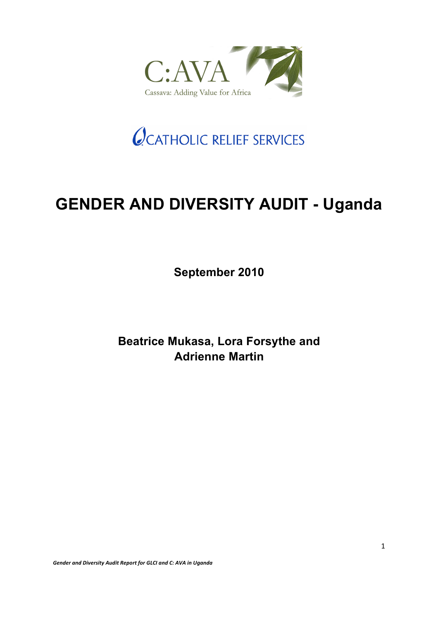

# OCATHOLIC RELIEF SERVICES

# **GENDER AND DIVERSITY AUDIT - Uganda**

**September 2010**

**Beatrice Mukasa, Lora Forsythe and Adrienne Martin**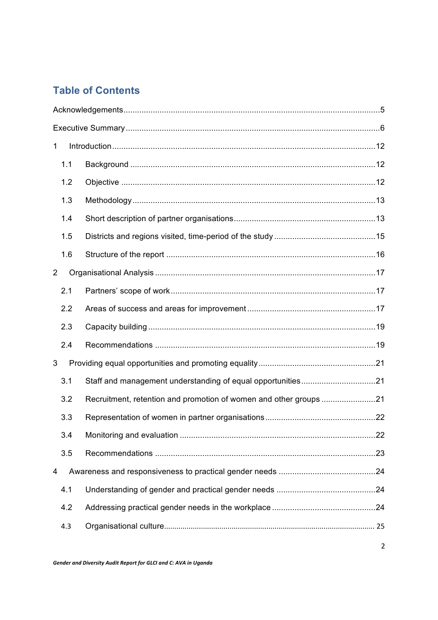### **Table of Contents**

| 1   |  |  |  |  |  |  |
|-----|--|--|--|--|--|--|
| 1.1 |  |  |  |  |  |  |
| 1.2 |  |  |  |  |  |  |
| 1.3 |  |  |  |  |  |  |
| 1.4 |  |  |  |  |  |  |
| 1.5 |  |  |  |  |  |  |
| 1.6 |  |  |  |  |  |  |
| 2   |  |  |  |  |  |  |
| 2.1 |  |  |  |  |  |  |
| 2.2 |  |  |  |  |  |  |
| 2.3 |  |  |  |  |  |  |
| 2.4 |  |  |  |  |  |  |
| 3   |  |  |  |  |  |  |
| 3.1 |  |  |  |  |  |  |
| 3.2 |  |  |  |  |  |  |
| 3.3 |  |  |  |  |  |  |
| 3.4 |  |  |  |  |  |  |
| 3.5 |  |  |  |  |  |  |
| 4   |  |  |  |  |  |  |
| 4.1 |  |  |  |  |  |  |
| 4.2 |  |  |  |  |  |  |
| 4.3 |  |  |  |  |  |  |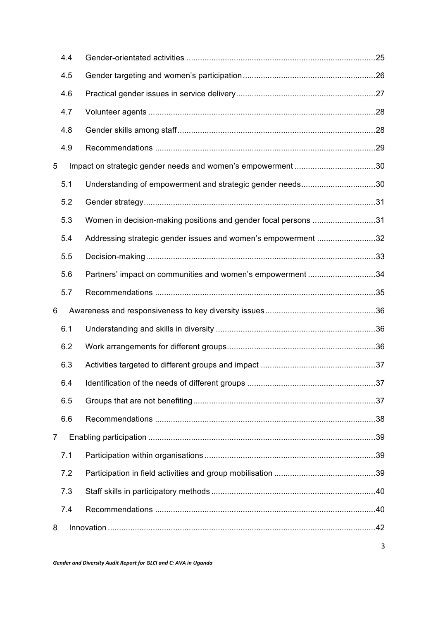|                | 4.4 |                                                                |  |
|----------------|-----|----------------------------------------------------------------|--|
|                | 4.5 |                                                                |  |
|                | 4.6 |                                                                |  |
|                | 4.7 |                                                                |  |
|                | 4.8 |                                                                |  |
|                | 4.9 |                                                                |  |
| 5              |     | Impact on strategic gender needs and women's empowerment 30    |  |
|                | 5.1 | Understanding of empowerment and strategic gender needs30      |  |
|                | 5.2 |                                                                |  |
|                | 5.3 | Women in decision-making positions and gender focal persons 31 |  |
|                | 5.4 | Addressing strategic gender issues and women's empowerment 32  |  |
|                | 5.5 |                                                                |  |
|                | 5.6 | Partners' impact on communities and women's empowerment 34     |  |
|                | 5.7 |                                                                |  |
| 6              |     |                                                                |  |
|                | 6.1 |                                                                |  |
|                | 6.2 |                                                                |  |
|                | 6.3 |                                                                |  |
|                | 6.4 |                                                                |  |
|                | 6.5 |                                                                |  |
|                | 6.6 |                                                                |  |
| $\overline{7}$ |     |                                                                |  |
|                | 7.1 |                                                                |  |
|                | 7.2 |                                                                |  |
|                | 7.3 |                                                                |  |
|                | 7.4 |                                                                |  |
| 8              |     |                                                                |  |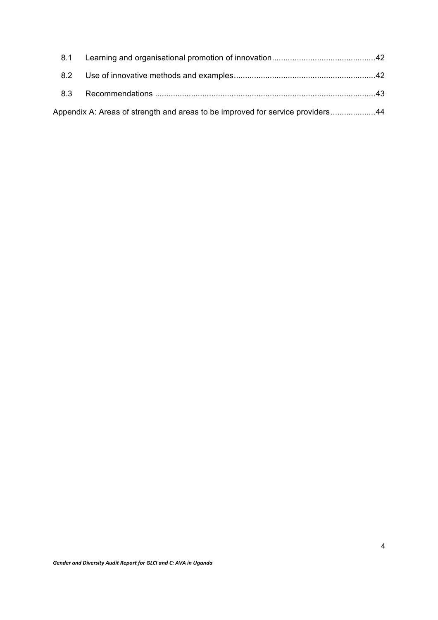| 8.2 |                                                                                |  |
|-----|--------------------------------------------------------------------------------|--|
| 8.3 |                                                                                |  |
|     | Appendix A: Areas of strength and areas to be improved for service providers44 |  |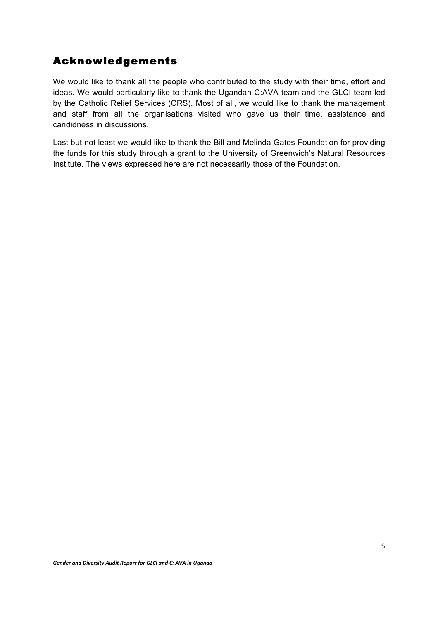### Acknowledgements

We would like to thank all the people who contributed to the study with their time, effort and ideas. We would particularly like to thank the Ugandan C:AVA team and the GLCI team led by the Catholic Relief Services (CRS). Most of all, we would like to thank the management and staff from all the organisations visited who gave us their time, assistance and candidness in discussions.

Last but not least we would like to thank the Bill and Melinda Gates Foundation for providing the funds for this study through a grant to the University of Greenwich's Natural Resources Institute. The views expressed here are not necessarily those of the Foundation.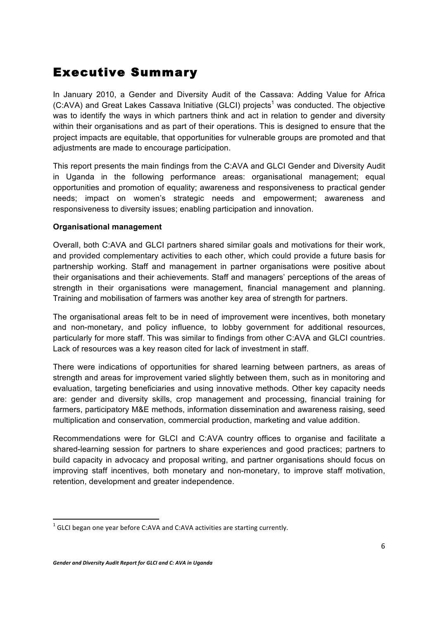## Executive Summary

In January 2010, a Gender and Diversity Audit of the Cassava: Adding Value for Africa  $(C:AVA)$  and Great Lakes Cassava Initiative (GLCI) projects<sup>1</sup> was conducted. The objective was to identify the ways in which partners think and act in relation to gender and diversity within their organisations and as part of their operations. This is designed to ensure that the project impacts are equitable, that opportunities for vulnerable groups are promoted and that adjustments are made to encourage participation.

This report presents the main findings from the C:AVA and GLCI Gender and Diversity Audit in Uganda in the following performance areas: organisational management; equal opportunities and promotion of equality; awareness and responsiveness to practical gender needs; impact on women's strategic needs and empowerment; awareness and responsiveness to diversity issues; enabling participation and innovation.

#### **Organisational management**

Overall, both C:AVA and GLCI partners shared similar goals and motivations for their work, and provided complementary activities to each other, which could provide a future basis for partnership working. Staff and management in partner organisations were positive about their organisations and their achievements. Staff and managers' perceptions of the areas of strength in their organisations were management, financial management and planning. Training and mobilisation of farmers was another key area of strength for partners.

The organisational areas felt to be in need of improvement were incentives, both monetary and non-monetary, and policy influence, to lobby government for additional resources, particularly for more staff. This was similar to findings from other C:AVA and GLCI countries. Lack of resources was a key reason cited for lack of investment in staff.

There were indications of opportunities for shared learning between partners, as areas of strength and areas for improvement varied slightly between them, such as in monitoring and evaluation, targeting beneficiaries and using innovative methods. Other key capacity needs are: gender and diversity skills, crop management and processing, financial training for farmers, participatory M&E methods, information dissemination and awareness raising, seed multiplication and conservation, commercial production, marketing and value addition.

Recommendations were for GLCI and C:AVA country offices to organise and facilitate a shared-learning session for partners to share experiences and good practices; partners to build capacity in advocacy and proposal writing, and partner organisations should focus on improving staff incentives, both monetary and non-monetary, to improve staff motivation, retention, development and greater independence.

 

 $1$  GLCI began one year before C:AVA and C:AVA activities are starting currently.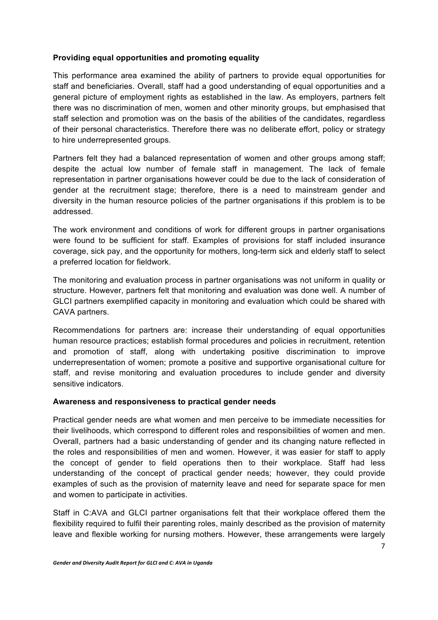#### **Providing equal opportunities and promoting equality**

This performance area examined the ability of partners to provide equal opportunities for staff and beneficiaries. Overall, staff had a good understanding of equal opportunities and a general picture of employment rights as established in the law. As employers, partners felt there was no discrimination of men, women and other minority groups, but emphasised that staff selection and promotion was on the basis of the abilities of the candidates, regardless of their personal characteristics. Therefore there was no deliberate effort, policy or strategy to hire underrepresented groups.

Partners felt they had a balanced representation of women and other groups among staff; despite the actual low number of female staff in management. The lack of female representation in partner organisations however could be due to the lack of consideration of gender at the recruitment stage; therefore, there is a need to mainstream gender and diversity in the human resource policies of the partner organisations if this problem is to be addressed.

The work environment and conditions of work for different groups in partner organisations were found to be sufficient for staff. Examples of provisions for staff included insurance coverage, sick pay, and the opportunity for mothers, long-term sick and elderly staff to select a preferred location for fieldwork.

The monitoring and evaluation process in partner organisations was not uniform in quality or structure. However, partners felt that monitoring and evaluation was done well. A number of GLCI partners exemplified capacity in monitoring and evaluation which could be shared with CAVA partners.

Recommendations for partners are: increase their understanding of equal opportunities human resource practices; establish formal procedures and policies in recruitment, retention and promotion of staff, along with undertaking positive discrimination to improve underrepresentation of women; promote a positive and supportive organisational culture for staff, and revise monitoring and evaluation procedures to include gender and diversity sensitive indicators.

#### **Awareness and responsiveness to practical gender needs**

Practical gender needs are what women and men perceive to be immediate necessities for their livelihoods, which correspond to different roles and responsibilities of women and men. Overall, partners had a basic understanding of gender and its changing nature reflected in the roles and responsibilities of men and women. However, it was easier for staff to apply the concept of gender to field operations then to their workplace. Staff had less understanding of the concept of practical gender needs; however, they could provide examples of such as the provision of maternity leave and need for separate space for men and women to participate in activities.

Staff in C:AVA and GLCI partner organisations felt that their workplace offered them the flexibility required to fulfil their parenting roles, mainly described as the provision of maternity leave and flexible working for nursing mothers. However, these arrangements were largely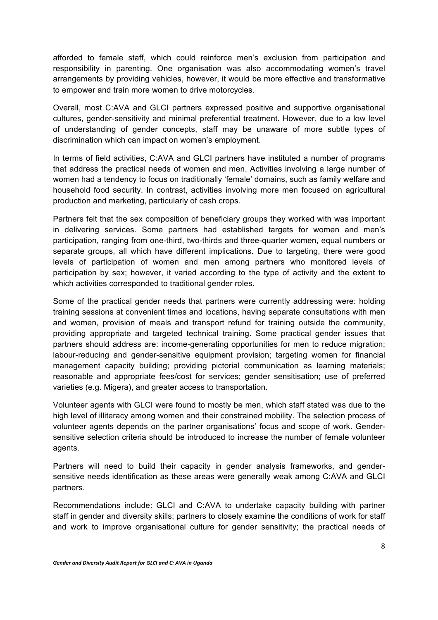afforded to female staff, which could reinforce men's exclusion from participation and responsibility in parenting. One organisation was also accommodating women's travel arrangements by providing vehicles, however, it would be more effective and transformative to empower and train more women to drive motorcycles.

Overall, most C:AVA and GLCI partners expressed positive and supportive organisational cultures, gender-sensitivity and minimal preferential treatment. However, due to a low level of understanding of gender concepts, staff may be unaware of more subtle types of discrimination which can impact on women's employment.

In terms of field activities, C:AVA and GLCI partners have instituted a number of programs that address the practical needs of women and men. Activities involving a large number of women had a tendency to focus on traditionally 'female' domains, such as family welfare and household food security. In contrast, activities involving more men focused on agricultural production and marketing, particularly of cash crops.

Partners felt that the sex composition of beneficiary groups they worked with was important in delivering services. Some partners had established targets for women and men's participation, ranging from one-third, two-thirds and three-quarter women, equal numbers or separate groups, all which have different implications. Due to targeting, there were good levels of participation of women and men among partners who monitored levels of participation by sex; however, it varied according to the type of activity and the extent to which activities corresponded to traditional gender roles.

Some of the practical gender needs that partners were currently addressing were: holding training sessions at convenient times and locations, having separate consultations with men and women, provision of meals and transport refund for training outside the community, providing appropriate and targeted technical training. Some practical gender issues that partners should address are: income-generating opportunities for men to reduce migration; labour-reducing and gender-sensitive equipment provision; targeting women for financial management capacity building; providing pictorial communication as learning materials; reasonable and appropriate fees/cost for services; gender sensitisation; use of preferred varieties (e.g. Migera), and greater access to transportation.

Volunteer agents with GLCI were found to mostly be men, which staff stated was due to the high level of illiteracy among women and their constrained mobility. The selection process of volunteer agents depends on the partner organisations' focus and scope of work. Gendersensitive selection criteria should be introduced to increase the number of female volunteer agents.

Partners will need to build their capacity in gender analysis frameworks, and gendersensitive needs identification as these areas were generally weak among C:AVA and GLCI partners.

Recommendations include: GLCI and C:AVA to undertake capacity building with partner staff in gender and diversity skills; partners to closely examine the conditions of work for staff and work to improve organisational culture for gender sensitivity; the practical needs of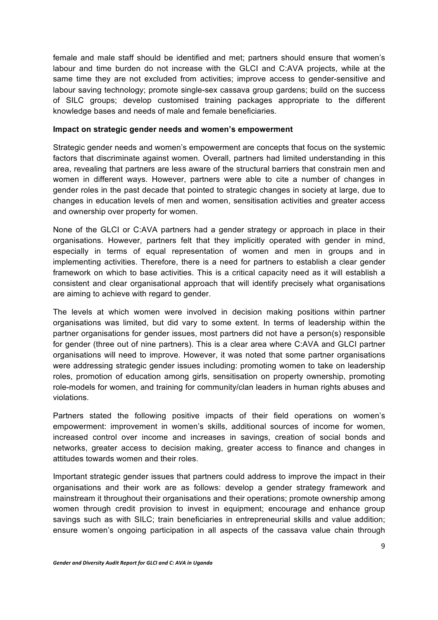female and male staff should be identified and met; partners should ensure that women's labour and time burden do not increase with the GLCI and C:AVA projects, while at the same time they are not excluded from activities; improve access to gender-sensitive and labour saving technology; promote single-sex cassava group gardens; build on the success of SILC groups; develop customised training packages appropriate to the different knowledge bases and needs of male and female beneficiaries.

#### **Impact on strategic gender needs and women's empowerment**

Strategic gender needs and women's empowerment are concepts that focus on the systemic factors that discriminate against women. Overall, partners had limited understanding in this area, revealing that partners are less aware of the structural barriers that constrain men and women in different ways. However, partners were able to cite a number of changes in gender roles in the past decade that pointed to strategic changes in society at large, due to changes in education levels of men and women, sensitisation activities and greater access and ownership over property for women.

None of the GLCI or C:AVA partners had a gender strategy or approach in place in their organisations. However, partners felt that they implicitly operated with gender in mind, especially in terms of equal representation of women and men in groups and in implementing activities. Therefore, there is a need for partners to establish a clear gender framework on which to base activities. This is a critical capacity need as it will establish a consistent and clear organisational approach that will identify precisely what organisations are aiming to achieve with regard to gender.

The levels at which women were involved in decision making positions within partner organisations was limited, but did vary to some extent. In terms of leadership within the partner organisations for gender issues, most partners did not have a person(s) responsible for gender (three out of nine partners). This is a clear area where C:AVA and GLCI partner organisations will need to improve. However, it was noted that some partner organisations were addressing strategic gender issues including: promoting women to take on leadership roles, promotion of education among girls, sensitisation on property ownership, promoting role-models for women, and training for community/clan leaders in human rights abuses and violations.

Partners stated the following positive impacts of their field operations on women's empowerment: improvement in women's skills, additional sources of income for women, increased control over income and increases in savings, creation of social bonds and networks, greater access to decision making, greater access to finance and changes in attitudes towards women and their roles.

Important strategic gender issues that partners could address to improve the impact in their organisations and their work are as follows: develop a gender strategy framework and mainstream it throughout their organisations and their operations; promote ownership among women through credit provision to invest in equipment; encourage and enhance group savings such as with SILC; train beneficiaries in entrepreneurial skills and value addition; ensure women's ongoing participation in all aspects of the cassava value chain through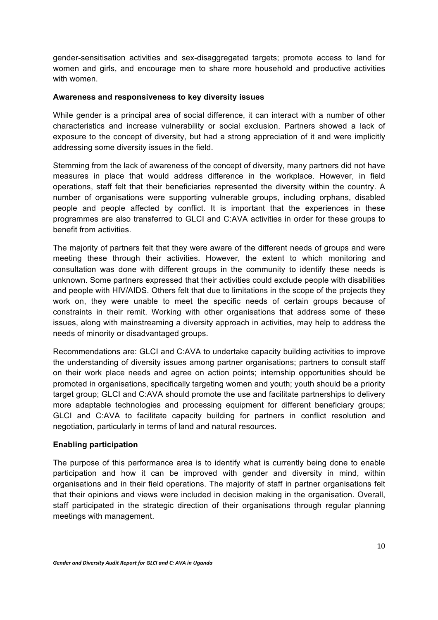gender-sensitisation activities and sex-disaggregated targets; promote access to land for women and girls, and encourage men to share more household and productive activities with women

#### **Awareness and responsiveness to key diversity issues**

While gender is a principal area of social difference, it can interact with a number of other characteristics and increase vulnerability or social exclusion. Partners showed a lack of exposure to the concept of diversity, but had a strong appreciation of it and were implicitly addressing some diversity issues in the field.

Stemming from the lack of awareness of the concept of diversity, many partners did not have measures in place that would address difference in the workplace. However, in field operations, staff felt that their beneficiaries represented the diversity within the country. A number of organisations were supporting vulnerable groups, including orphans, disabled people and people affected by conflict. It is important that the experiences in these programmes are also transferred to GLCI and C:AVA activities in order for these groups to benefit from activities.

The majority of partners felt that they were aware of the different needs of groups and were meeting these through their activities. However, the extent to which monitoring and consultation was done with different groups in the community to identify these needs is unknown. Some partners expressed that their activities could exclude people with disabilities and people with HIV/AIDS. Others felt that due to limitations in the scope of the projects they work on, they were unable to meet the specific needs of certain groups because of constraints in their remit. Working with other organisations that address some of these issues, along with mainstreaming a diversity approach in activities, may help to address the needs of minority or disadvantaged groups.

Recommendations are: GLCI and C:AVA to undertake capacity building activities to improve the understanding of diversity issues among partner organisations; partners to consult staff on their work place needs and agree on action points; internship opportunities should be promoted in organisations, specifically targeting women and youth; youth should be a priority target group; GLCI and C:AVA should promote the use and facilitate partnerships to delivery more adaptable technologies and processing equipment for different beneficiary groups; GLCI and C:AVA to facilitate capacity building for partners in conflict resolution and negotiation, particularly in terms of land and natural resources.

#### **Enabling participation**

The purpose of this performance area is to identify what is currently being done to enable participation and how it can be improved with gender and diversity in mind, within organisations and in their field operations. The majority of staff in partner organisations felt that their opinions and views were included in decision making in the organisation. Overall, staff participated in the strategic direction of their organisations through regular planning meetings with management.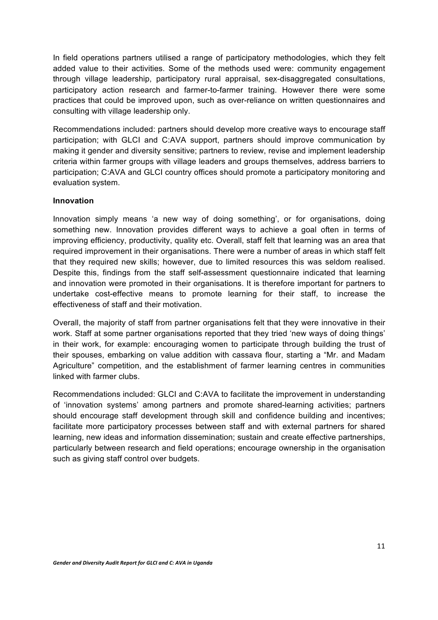In field operations partners utilised a range of participatory methodologies, which they felt added value to their activities. Some of the methods used were: community engagement through village leadership, participatory rural appraisal, sex-disaggregated consultations, participatory action research and farmer-to-farmer training. However there were some practices that could be improved upon, such as over-reliance on written questionnaires and consulting with village leadership only.

Recommendations included: partners should develop more creative ways to encourage staff participation; with GLCI and C:AVA support, partners should improve communication by making it gender and diversity sensitive; partners to review, revise and implement leadership criteria within farmer groups with village leaders and groups themselves, address barriers to participation; C:AVA and GLCI country offices should promote a participatory monitoring and evaluation system.

#### **Innovation**

Innovation simply means 'a new way of doing something', or for organisations, doing something new. Innovation provides different ways to achieve a goal often in terms of improving efficiency, productivity, quality etc. Overall, staff felt that learning was an area that required improvement in their organisations. There were a number of areas in which staff felt that they required new skills; however, due to limited resources this was seldom realised. Despite this, findings from the staff self-assessment questionnaire indicated that learning and innovation were promoted in their organisations. It is therefore important for partners to undertake cost-effective means to promote learning for their staff, to increase the effectiveness of staff and their motivation.

Overall, the majority of staff from partner organisations felt that they were innovative in their work. Staff at some partner organisations reported that they tried 'new ways of doing things' in their work, for example: encouraging women to participate through building the trust of their spouses, embarking on value addition with cassava flour, starting a "Mr. and Madam Agriculture" competition, and the establishment of farmer learning centres in communities linked with farmer clubs.

Recommendations included: GLCI and C:AVA to facilitate the improvement in understanding of 'innovation systems' among partners and promote shared-learning activities; partners should encourage staff development through skill and confidence building and incentives; facilitate more participatory processes between staff and with external partners for shared learning, new ideas and information dissemination; sustain and create effective partnerships, particularly between research and field operations; encourage ownership in the organisation such as giving staff control over budgets.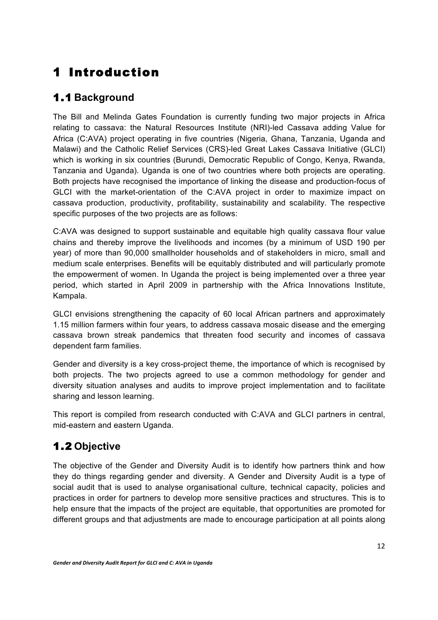# 1 Introduction

### 1.1 **Background**

The Bill and Melinda Gates Foundation is currently funding two major projects in Africa relating to cassava: the Natural Resources Institute (NRI)-led Cassava adding Value for Africa (C:AVA) project operating in five countries (Nigeria, Ghana, Tanzania, Uganda and Malawi) and the Catholic Relief Services (CRS)-led Great Lakes Cassava Initiative (GLCI) which is working in six countries (Burundi, Democratic Republic of Congo, Kenya, Rwanda, Tanzania and Uganda). Uganda is one of two countries where both projects are operating. Both projects have recognised the importance of linking the disease and production-focus of GLCI with the market-orientation of the C:AVA project in order to maximize impact on cassava production, productivity, profitability, sustainability and scalability. The respective specific purposes of the two projects are as follows:

C:AVA was designed to support sustainable and equitable high quality cassava flour value chains and thereby improve the livelihoods and incomes (by a minimum of USD 190 per year) of more than 90,000 smallholder households and of stakeholders in micro, small and medium scale enterprises. Benefits will be equitably distributed and will particularly promote the empowerment of women. In Uganda the project is being implemented over a three year period, which started in April 2009 in partnership with the Africa Innovations Institute, Kampala.

GLCI envisions strengthening the capacity of 60 local African partners and approximately 1.15 million farmers within four years, to address cassava mosaic disease and the emerging cassava brown streak pandemics that threaten food security and incomes of cassava dependent farm families.

Gender and diversity is a key cross-project theme, the importance of which is recognised by both projects. The two projects agreed to use a common methodology for gender and diversity situation analyses and audits to improve project implementation and to facilitate sharing and lesson learning.

This report is compiled from research conducted with C:AVA and GLCI partners in central, mid-eastern and eastern Uganda.

### 1.2 **Objective**

The objective of the Gender and Diversity Audit is to identify how partners think and how they do things regarding gender and diversity. A Gender and Diversity Audit is a type of social audit that is used to analyse organisational culture, technical capacity, policies and practices in order for partners to develop more sensitive practices and structures. This is to help ensure that the impacts of the project are equitable, that opportunities are promoted for different groups and that adjustments are made to encourage participation at all points along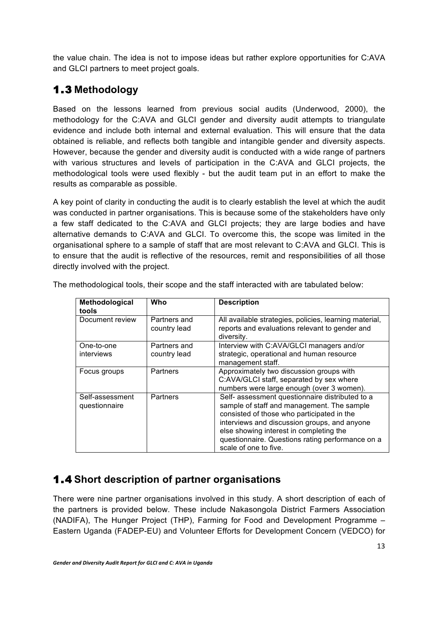the value chain. The idea is not to impose ideas but rather explore opportunities for C:AVA and GLCI partners to meet project goals.

### 1.3 **Methodology**

Based on the lessons learned from previous social audits (Underwood, 2000), the methodology for the C:AVA and GLCI gender and diversity audit attempts to triangulate evidence and include both internal and external evaluation. This will ensure that the data obtained is reliable, and reflects both tangible and intangible gender and diversity aspects. However, because the gender and diversity audit is conducted with a wide range of partners with various structures and levels of participation in the C:AVA and GLCI projects, the methodological tools were used flexibly - but the audit team put in an effort to make the results as comparable as possible.

A key point of clarity in conducting the audit is to clearly establish the level at which the audit was conducted in partner organisations. This is because some of the stakeholders have only a few staff dedicated to the C:AVA and GLCI projects; they are large bodies and have alternative demands to C:AVA and GLCI. To overcome this, the scope was limited in the organisational sphere to a sample of staff that are most relevant to C:AVA and GLCI. This is to ensure that the audit is reflective of the resources, remit and responsibilities of all those directly involved with the project.

| Methodological<br>tools          | Who                          | <b>Description</b>                                                                                                                                                                                                                                                                                                  |
|----------------------------------|------------------------------|---------------------------------------------------------------------------------------------------------------------------------------------------------------------------------------------------------------------------------------------------------------------------------------------------------------------|
| Document review                  | Partners and<br>country lead | All available strategies, policies, learning material,<br>reports and evaluations relevant to gender and<br>diversity.                                                                                                                                                                                              |
| One-to-one<br>interviews         | Partners and<br>country lead | Interview with C:AVA/GLCI managers and/or<br>strategic, operational and human resource<br>management staff.                                                                                                                                                                                                         |
| Focus groups                     | <b>Partners</b>              | Approximately two discussion groups with<br>C:AVA/GLCI staff, separated by sex where<br>numbers were large enough (over 3 women).                                                                                                                                                                                   |
| Self-assessment<br>questionnaire | <b>Partners</b>              | Self- assessment questionnaire distributed to a<br>sample of staff and management. The sample<br>consisted of those who participated in the<br>interviews and discussion groups, and anyone<br>else showing interest in completing the<br>questionnaire. Questions rating performance on a<br>scale of one to five. |

The methodological tools, their scope and the staff interacted with are tabulated below:

### 1.4 **Short description of partner organisations**

There were nine partner organisations involved in this study. A short description of each of the partners is provided below. These include Nakasongola District Farmers Association (NADIFA), The Hunger Project (THP), Farming for Food and Development Programme – Eastern Uganda (FADEP-EU) and Volunteer Efforts for Development Concern (VEDCO) for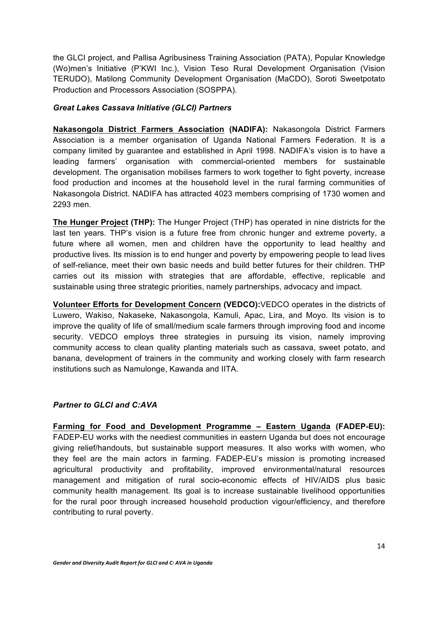the GLCI project, and Pallisa Agribusiness Training Association (PATA), Popular Knowledge (Wo)men's Initiative (P'KWI Inc.), Vision Teso Rural Development Organisation (Vision TERUDO), Matilong Community Development Organisation (MaCDO), Soroti Sweetpotato Production and Processors Association (SOSPPA).

#### *Great Lakes Cassava Initiative (GLCI) Partners*

**Nakasongola District Farmers Association (NADIFA):** Nakasongola District Farmers Association is a member organisation of Uganda National Farmers Federation. It is a company limited by guarantee and established in April 1998. NADIFA's vision is to have a leading farmers' organisation with commercial-oriented members for sustainable development. The organisation mobilises farmers to work together to fight poverty, increase food production and incomes at the household level in the rural farming communities of Nakasongola District. NADIFA has attracted 4023 members comprising of 1730 women and 2293 men.

**The Hunger Project (THP):** The Hunger Project (THP) has operated in nine districts for the last ten years. THP's vision is a future free from chronic hunger and extreme poverty, a future where all women, men and children have the opportunity to lead healthy and productive lives. Its mission is to end hunger and poverty by empowering people to lead lives of self-reliance, meet their own basic needs and build better futures for their children. THP carries out its mission with strategies that are affordable, effective, replicable and sustainable using three strategic priorities, namely partnerships, advocacy and impact.

**Volunteer Efforts for Development Concern (VEDCO):**VEDCO operates in the districts of Luwero, Wakiso, Nakaseke, Nakasongola, Kamuli, Apac, Lira, and Moyo. Its vision is to improve the quality of life of small/medium scale farmers through improving food and income security. VEDCO employs three strategies in pursuing its vision, namely improving community access to clean quality planting materials such as cassava, sweet potato, and banana, development of trainers in the community and working closely with farm research institutions such as Namulonge, Kawanda and IITA.

#### *Partner to GLCI and C:AVA*

**Farming for Food and Development Programme – Eastern Uganda (FADEP-EU):**  FADEP-EU works with the neediest communities in eastern Uganda but does not encourage giving relief/handouts, but sustainable support measures. It also works with women, who they feel are the main actors in farming. FADEP-EU's mission is promoting increased agricultural productivity and profitability, improved environmental/natural resources management and mitigation of rural socio-economic effects of HIV/AIDS plus basic community health management. Its goal is to increase sustainable livelihood opportunities for the rural poor through increased household production vigour/efficiency, and therefore contributing to rural poverty.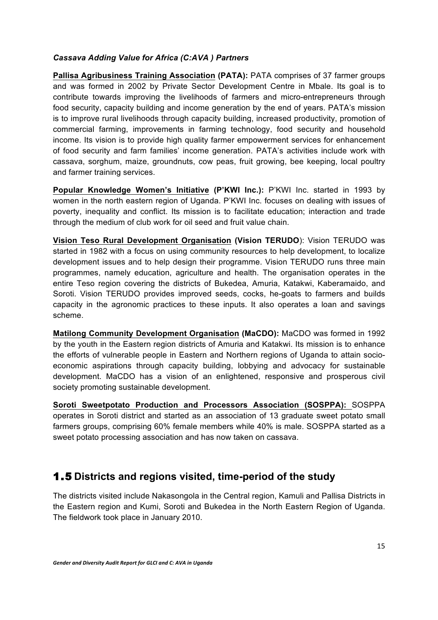#### *Cassava Adding Value for Africa (C:AVA ) Partners*

**Pallisa Agribusiness Training Association (PATA):** PATA comprises of 37 farmer groups and was formed in 2002 by Private Sector Development Centre in Mbale. Its goal is to contribute towards improving the livelihoods of farmers and micro-entrepreneurs through food security, capacity building and income generation by the end of years. PATA's mission is to improve rural livelihoods through capacity building, increased productivity, promotion of commercial farming, improvements in farming technology, food security and household income. Its vision is to provide high quality farmer empowerment services for enhancement of food security and farm families' income generation. PATA's activities include work with cassava, sorghum, maize, groundnuts, cow peas, fruit growing, bee keeping, local poultry and farmer training services.

**Popular Knowledge Women's Initiative (P'KWI Inc.):** P'KWI Inc. started in 1993 by women in the north eastern region of Uganda. P'KWI Inc. focuses on dealing with issues of poverty, inequality and conflict. Its mission is to facilitate education; interaction and trade through the medium of club work for oil seed and fruit value chain.

**Vision Teso Rural Development Organisation (Vision TERUDO**): Vision TERUDO was started in 1982 with a focus on using community resources to help development, to localize development issues and to help design their programme. Vision TERUDO runs three main programmes, namely education, agriculture and health. The organisation operates in the entire Teso region covering the districts of Bukedea, Amuria, Katakwi, Kaberamaido, and Soroti. Vision TERUDO provides improved seeds, cocks, he-goats to farmers and builds capacity in the agronomic practices to these inputs. It also operates a loan and savings scheme.

**Matilong Community Development Organisation (MaCDO):** MaCDO was formed in 1992 by the youth in the Eastern region districts of Amuria and Katakwi. Its mission is to enhance the efforts of vulnerable people in Eastern and Northern regions of Uganda to attain socioeconomic aspirations through capacity building, lobbying and advocacy for sustainable development. MaCDO has a vision of an enlightened, responsive and prosperous civil society promoting sustainable development.

**Soroti Sweetpotato Production and Processors Association (SOSPPA):** SOSPPA operates in Soroti district and started as an association of 13 graduate sweet potato small farmers groups, comprising 60% female members while 40% is male. SOSPPA started as a sweet potato processing association and has now taken on cassava.

#### 1.5 **Districts and regions visited, time-period of the study**

The districts visited include Nakasongola in the Central region, Kamuli and Pallisa Districts in the Eastern region and Kumi, Soroti and Bukedea in the North Eastern Region of Uganda. The fieldwork took place in January 2010.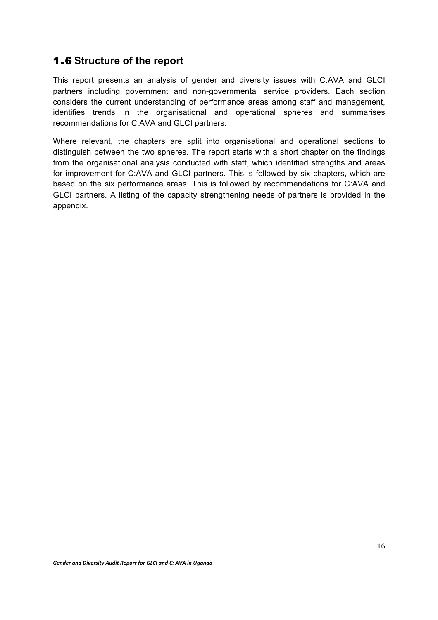#### 1.6 **Structure of the report**

This report presents an analysis of gender and diversity issues with C:AVA and GLCI partners including government and non-governmental service providers. Each section considers the current understanding of performance areas among staff and management, identifies trends in the organisational and operational spheres and summarises recommendations for C:AVA and GLCI partners.

Where relevant, the chapters are split into organisational and operational sections to distinguish between the two spheres. The report starts with a short chapter on the findings from the organisational analysis conducted with staff, which identified strengths and areas for improvement for C:AVA and GLCI partners. This is followed by six chapters, which are based on the six performance areas. This is followed by recommendations for C:AVA and GLCI partners. A listing of the capacity strengthening needs of partners is provided in the appendix.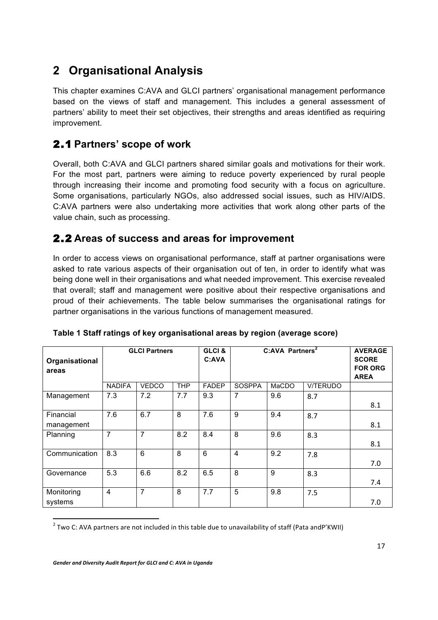# **2 Organisational Analysis**

This chapter examines C:AVA and GLCI partners' organisational management performance based on the views of staff and management. This includes a general assessment of partners' ability to meet their set objectives, their strengths and areas identified as requiring improvement.

### 2.1 **Partners' scope of work**

Overall, both C:AVA and GLCI partners shared similar goals and motivations for their work. For the most part, partners were aiming to reduce poverty experienced by rural people through increasing their income and promoting food security with a focus on agriculture. Some organisations, particularly NGOs, also addressed social issues, such as HIV/AIDS. C:AVA partners were also undertaking more activities that work along other parts of the value chain, such as processing.

#### 2.2 **Areas of success and areas for improvement**

In order to access views on organisational performance, staff at partner organisations were asked to rate various aspects of their organisation out of ten, in order to identify what was being done well in their organisations and what needed improvement. This exercise revealed that overall; staff and management were positive about their respective organisations and proud of their achievements. The table below summarises the organisational ratings for partner organisations in the various functions of management measured.

| Organisational<br>areas | <b>GLCI Partners</b> |                |            | GLCI&<br>C:AVA | C:AVA Partners <sup>2</sup> |       |          | <b>AVERAGE</b><br><b>SCORE</b><br><b>FOR ORG</b><br><b>AREA</b> |
|-------------------------|----------------------|----------------|------------|----------------|-----------------------------|-------|----------|-----------------------------------------------------------------|
|                         | <b>NADIFA</b>        | <b>VEDCO</b>   | <b>THP</b> | <b>FADEP</b>   | <b>SOSPPA</b>               | MaCDO | V/TERUDO |                                                                 |
| Management              | 7.3                  | 7.2            | 7.7        | 9.3            | $\overline{7}$              | 9.6   | 8.7      |                                                                 |
|                         |                      |                |            |                |                             |       |          | 8.1                                                             |
| Financial               | 7.6                  | 6.7            | 8          | 7.6            | 9                           | 9.4   | 8.7      |                                                                 |
| management              |                      |                |            |                |                             |       |          | 8.1                                                             |
| Planning                | 7                    | 7              | 8.2        | 8.4            | 8                           | 9.6   | 8.3      |                                                                 |
|                         |                      |                |            |                |                             |       |          | 8.1                                                             |
| Communication           | 8.3                  | 6              | 8          | 6              | $\overline{4}$              | 9.2   | 7.8      |                                                                 |
|                         |                      |                |            |                |                             |       |          | 7.0                                                             |
| Governance              | 5.3                  | 6.6            | 8.2        | 6.5            | 8                           | 9     | 8.3      |                                                                 |
|                         |                      |                |            |                |                             |       |          | 7.4                                                             |
| Monitoring              | $\overline{4}$       | $\overline{7}$ | 8          | 7.7            | 5                           | 9.8   | 7.5      |                                                                 |
| systems                 |                      |                |            |                |                             |       |          | 7.0                                                             |

#### **Table 1 Staff ratings of key organisational areas by region (average score)**

 $2$  Two C: AVA partners are not included in this table due to unavailability of staff (Pata andP'KWII)

<u> 1989 - Jan Samuel Barbara, margaret e</u>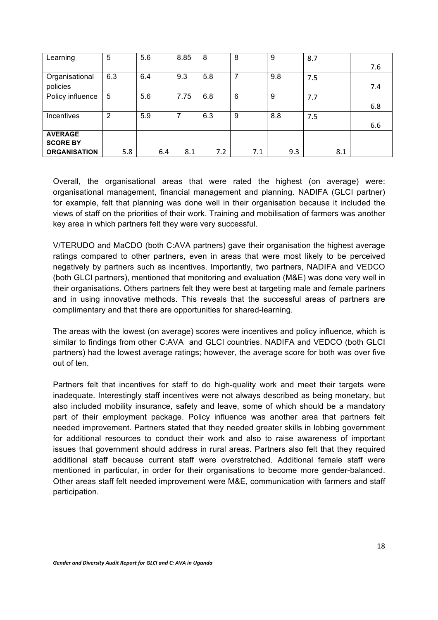| Learning            | 5   | 5.6 | 8.85 | 8   | 8   | 9   | 8.7 |     |
|---------------------|-----|-----|------|-----|-----|-----|-----|-----|
|                     |     |     |      |     |     |     |     | 7.6 |
| Organisational      | 6.3 | 6.4 | 9.3  | 5.8 | 7   | 9.8 | 7.5 |     |
| policies            |     |     |      |     |     |     |     | 7.4 |
| Policy influence    | 5   | 5.6 | 7.75 | 6.8 | 6   | 9   | 7.7 |     |
|                     |     |     |      |     |     |     |     | 6.8 |
| Incentives          | 2   | 5.9 |      | 6.3 | 9   | 8.8 | 7.5 |     |
|                     |     |     |      |     |     |     |     | 6.6 |
| <b>AVERAGE</b>      |     |     |      |     |     |     |     |     |
| <b>SCORE BY</b>     |     |     |      |     |     |     |     |     |
| <b>ORGANISATION</b> | 5.8 | 6.4 | 8.1  | 7.2 | 7.1 | 9.3 | 8.1 |     |

Overall, the organisational areas that were rated the highest (on average) were: organisational management, financial management and planning. NADIFA (GLCI partner) for example, felt that planning was done well in their organisation because it included the views of staff on the priorities of their work. Training and mobilisation of farmers was another key area in which partners felt they were very successful.

V/TERUDO and MaCDO (both C:AVA partners) gave their organisation the highest average ratings compared to other partners, even in areas that were most likely to be perceived negatively by partners such as incentives. Importantly, two partners, NADIFA and VEDCO (both GLCI partners), mentioned that monitoring and evaluation (M&E) was done very well in their organisations. Others partners felt they were best at targeting male and female partners and in using innovative methods. This reveals that the successful areas of partners are complimentary and that there are opportunities for shared-learning.

The areas with the lowest (on average) scores were incentives and policy influence, which is similar to findings from other C:AVA and GLCI countries. NADIFA and VEDCO (both GLCI partners) had the lowest average ratings; however, the average score for both was over five out of ten.

Partners felt that incentives for staff to do high-quality work and meet their targets were inadequate. Interestingly staff incentives were not always described as being monetary, but also included mobility insurance, safety and leave, some of which should be a mandatory part of their employment package. Policy influence was another area that partners felt needed improvement. Partners stated that they needed greater skills in lobbing government for additional resources to conduct their work and also to raise awareness of important issues that government should address in rural areas. Partners also felt that they required additional staff because current staff were overstretched. Additional female staff were mentioned in particular, in order for their organisations to become more gender-balanced. Other areas staff felt needed improvement were M&E, communication with farmers and staff participation.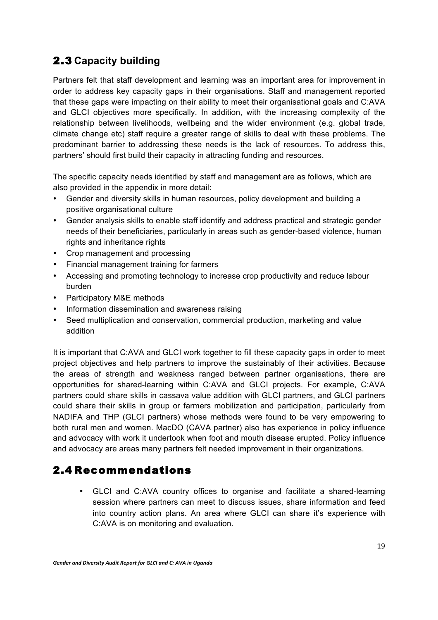### 2.3 **Capacity building**

Partners felt that staff development and learning was an important area for improvement in order to address key capacity gaps in their organisations. Staff and management reported that these gaps were impacting on their ability to meet their organisational goals and C:AVA and GLCI objectives more specifically. In addition, with the increasing complexity of the relationship between livelihoods, wellbeing and the wider environment (e.g. global trade, climate change etc) staff require a greater range of skills to deal with these problems. The predominant barrier to addressing these needs is the lack of resources. To address this, partners' should first build their capacity in attracting funding and resources.

The specific capacity needs identified by staff and management are as follows, which are also provided in the appendix in more detail:

- Gender and diversity skills in human resources, policy development and building a positive organisational culture
- Gender analysis skills to enable staff identify and address practical and strategic gender needs of their beneficiaries, particularly in areas such as gender-based violence, human rights and inheritance rights
- Crop management and processing
- Financial management training for farmers
- Accessing and promoting technology to increase crop productivity and reduce labour burden
- Participatory M&E methods
- Information dissemination and awareness raising
- Seed multiplication and conservation, commercial production, marketing and value addition

It is important that C:AVA and GLCI work together to fill these capacity gaps in order to meet project objectives and help partners to improve the sustainably of their activities. Because the areas of strength and weakness ranged between partner organisations, there are opportunities for shared-learning within C:AVA and GLCI projects. For example, C:AVA partners could share skills in cassava value addition with GLCI partners, and GLCI partners could share their skills in group or farmers mobilization and participation, particularly from NADIFA and THP (GLCI partners) whose methods were found to be very empowering to both rural men and women. MacDO (CAVA partner) also has experience in policy influence and advocacy with work it undertook when foot and mouth disease erupted. Policy influence and advocacy are areas many partners felt needed improvement in their organizations.

#### 2.4 Recommendations

• GLCI and C:AVA country offices to organise and facilitate a shared-learning session where partners can meet to discuss issues, share information and feed into country action plans. An area where GLCI can share it's experience with C:AVA is on monitoring and evaluation.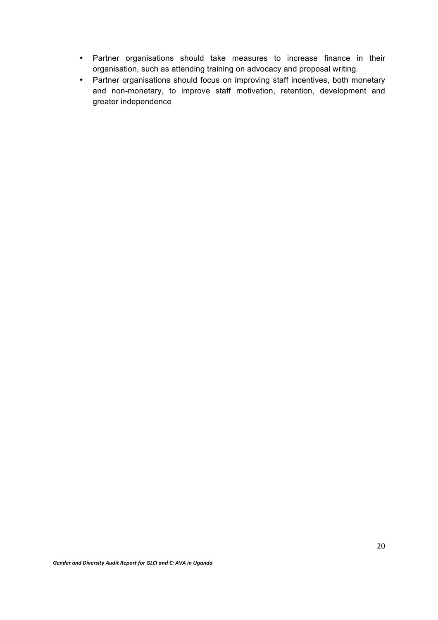- Partner organisations should take measures to increase finance in their organisation, such as attending training on advocacy and proposal writing.
- Partner organisations should focus on improving staff incentives, both monetary and non-monetary, to improve staff motivation, retention, development and greater independence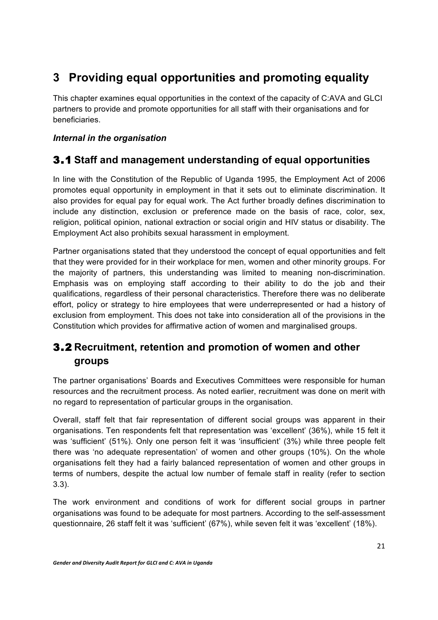# **3 Providing equal opportunities and promoting equality**

This chapter examines equal opportunities in the context of the capacity of C:AVA and GLCI partners to provide and promote opportunities for all staff with their organisations and for beneficiaries.

#### *Internal in the organisation*

### 3.1 **Staff and management understanding of equal opportunities**

In line with the Constitution of the Republic of Uganda 1995, the Employment Act of 2006 promotes equal opportunity in employment in that it sets out to eliminate discrimination. It also provides for equal pay for equal work. The Act further broadly defines discrimination to include any distinction, exclusion or preference made on the basis of race, color, sex, religion, political opinion, national extraction or social origin and HIV status or disability. The Employment Act also prohibits sexual harassment in employment.

Partner organisations stated that they understood the concept of equal opportunities and felt that they were provided for in their workplace for men, women and other minority groups. For the majority of partners, this understanding was limited to meaning non-discrimination. Emphasis was on employing staff according to their ability to do the job and their qualifications, regardless of their personal characteristics. Therefore there was no deliberate effort, policy or strategy to hire employees that were underrepresented or had a history of exclusion from employment. This does not take into consideration all of the provisions in the Constitution which provides for affirmative action of women and marginalised groups.

### 3.2 **Recruitment, retention and promotion of women and other groups**

The partner organisations' Boards and Executives Committees were responsible for human resources and the recruitment process. As noted earlier, recruitment was done on merit with no regard to representation of particular groups in the organisation.

Overall, staff felt that fair representation of different social groups was apparent in their organisations. Ten respondents felt that representation was 'excellent' (36%), while 15 felt it was 'sufficient' (51%). Only one person felt it was 'insufficient' (3%) while three people felt there was 'no adequate representation' of women and other groups (10%). On the whole organisations felt they had a fairly balanced representation of women and other groups in terms of numbers, despite the actual low number of female staff in reality (refer to section 3.3).

The work environment and conditions of work for different social groups in partner organisations was found to be adequate for most partners. According to the self-assessment questionnaire, 26 staff felt it was 'sufficient' (67%), while seven felt it was 'excellent' (18%).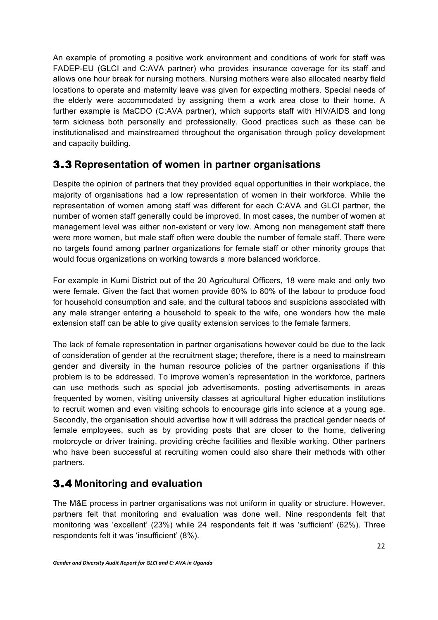An example of promoting a positive work environment and conditions of work for staff was FADEP-EU (GLCI and C:AVA partner) who provides insurance coverage for its staff and allows one hour break for nursing mothers. Nursing mothers were also allocated nearby field locations to operate and maternity leave was given for expecting mothers. Special needs of the elderly were accommodated by assigning them a work area close to their home. A further example is MaCDO (C:AVA partner), which supports staff with HIV/AIDS and long term sickness both personally and professionally. Good practices such as these can be institutionalised and mainstreamed throughout the organisation through policy development and capacity building.

#### 3.3 **Representation of women in partner organisations**

Despite the opinion of partners that they provided equal opportunities in their workplace, the majority of organisations had a low representation of women in their workforce. While the representation of women among staff was different for each C:AVA and GLCI partner, the number of women staff generally could be improved. In most cases, the number of women at management level was either non-existent or very low. Among non management staff there were more women, but male staff often were double the number of female staff. There were no targets found among partner organizations for female staff or other minority groups that would focus organizations on working towards a more balanced workforce.

For example in Kumi District out of the 20 Agricultural Officers, 18 were male and only two were female. Given the fact that women provide 60% to 80% of the labour to produce food for household consumption and sale, and the cultural taboos and suspicions associated with any male stranger entering a household to speak to the wife, one wonders how the male extension staff can be able to give quality extension services to the female farmers.

The lack of female representation in partner organisations however could be due to the lack of consideration of gender at the recruitment stage; therefore, there is a need to mainstream gender and diversity in the human resource policies of the partner organisations if this problem is to be addressed. To improve women's representation in the workforce, partners can use methods such as special job advertisements, posting advertisements in areas frequented by women, visiting university classes at agricultural higher education institutions to recruit women and even visiting schools to encourage girls into science at a young age. Secondly, the organisation should advertise how it will address the practical gender needs of female employees, such as by providing posts that are closer to the home, delivering motorcycle or driver training, providing crèche facilities and flexible working. Other partners who have been successful at recruiting women could also share their methods with other partners.

#### 3.4 **Monitoring and evaluation**

The M&E process in partner organisations was not uniform in quality or structure. However, partners felt that monitoring and evaluation was done well. Nine respondents felt that monitoring was 'excellent' (23%) while 24 respondents felt it was 'sufficient' (62%). Three respondents felt it was 'insufficient' (8%).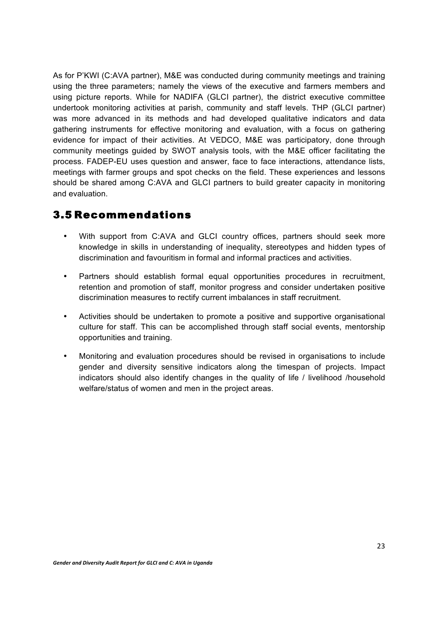As for P'KWI (C:AVA partner), M&E was conducted during community meetings and training using the three parameters; namely the views of the executive and farmers members and using picture reports. While for NADIFA (GLCI partner), the district executive committee undertook monitoring activities at parish, community and staff levels. THP (GLCI partner) was more advanced in its methods and had developed qualitative indicators and data gathering instruments for effective monitoring and evaluation, with a focus on gathering evidence for impact of their activities. At VEDCO, M&E was participatory, done through community meetings guided by SWOT analysis tools, with the M&E officer facilitating the process. FADEP-EU uses question and answer, face to face interactions, attendance lists, meetings with farmer groups and spot checks on the field. These experiences and lessons should be shared among C:AVA and GLCI partners to build greater capacity in monitoring and evaluation.

#### 3.5 Recommendations

- With support from C:AVA and GLCI country offices, partners should seek more knowledge in skills in understanding of inequality, stereotypes and hidden types of discrimination and favouritism in formal and informal practices and activities.
- Partners should establish formal equal opportunities procedures in recruitment, retention and promotion of staff, monitor progress and consider undertaken positive discrimination measures to rectify current imbalances in staff recruitment.
- Activities should be undertaken to promote a positive and supportive organisational culture for staff. This can be accomplished through staff social events, mentorship opportunities and training.
- Monitoring and evaluation procedures should be revised in organisations to include gender and diversity sensitive indicators along the timespan of projects. Impact indicators should also identify changes in the quality of life / livelihood /household welfare/status of women and men in the project areas.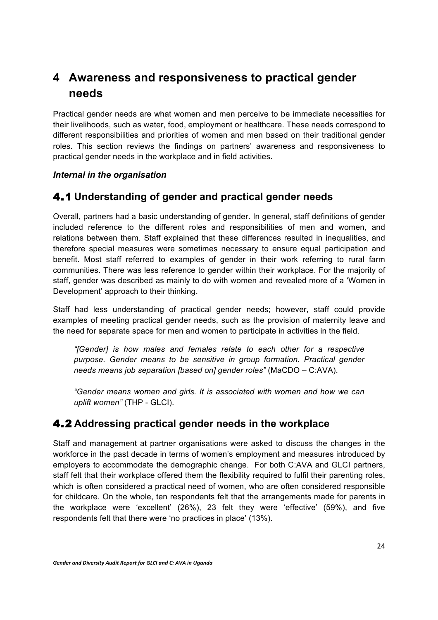# **4 Awareness and responsiveness to practical gender needs**

Practical gender needs are what women and men perceive to be immediate necessities for their livelihoods, such as water, food, employment or healthcare. These needs correspond to different responsibilities and priorities of women and men based on their traditional gender roles. This section reviews the findings on partners' awareness and responsiveness to practical gender needs in the workplace and in field activities.

#### *Internal in the organisation*

#### 4.1 **Understanding of gender and practical gender needs**

Overall, partners had a basic understanding of gender. In general, staff definitions of gender included reference to the different roles and responsibilities of men and women, and relations between them. Staff explained that these differences resulted in inequalities, and therefore special measures were sometimes necessary to ensure equal participation and benefit. Most staff referred to examples of gender in their work referring to rural farm communities. There was less reference to gender within their workplace. For the majority of staff, gender was described as mainly to do with women and revealed more of a 'Women in Development' approach to their thinking.

Staff had less understanding of practical gender needs; however, staff could provide examples of meeting practical gender needs, such as the provision of maternity leave and the need for separate space for men and women to participate in activities in the field.

*"[Gender] is how males and females relate to each other for a respective purpose. Gender means to be sensitive in group formation. Practical gender needs means job separation [based on] gender roles"* (MaCDO – C:AVA).

*"Gender means women and girls. It is associated with women and how we can uplift women"* (THP - GLCI).

#### 4.2 **Addressing practical gender needs in the workplace**

Staff and management at partner organisations were asked to discuss the changes in the workforce in the past decade in terms of women's employment and measures introduced by employers to accommodate the demographic change. For both C:AVA and GLCI partners, staff felt that their workplace offered them the flexibility required to fulfil their parenting roles, which is often considered a practical need of women, who are often considered responsible for childcare. On the whole, ten respondents felt that the arrangements made for parents in the workplace were 'excellent' (26%), 23 felt they were 'effective' (59%), and five respondents felt that there were 'no practices in place' (13%).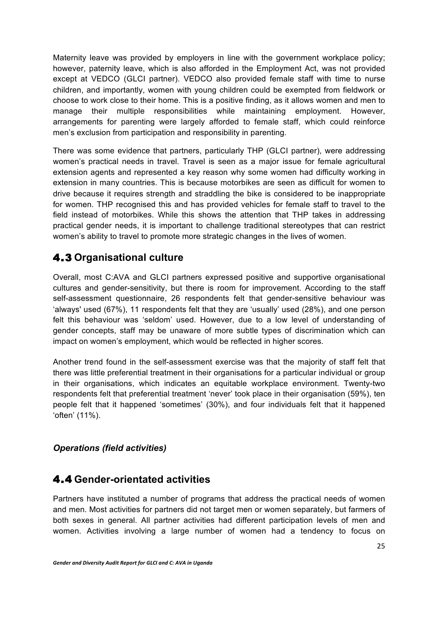Maternity leave was provided by employers in line with the government workplace policy; however, paternity leave, which is also afforded in the Employment Act, was not provided except at VEDCO (GLCI partner). VEDCO also provided female staff with time to nurse children, and importantly, women with young children could be exempted from fieldwork or choose to work close to their home. This is a positive finding, as it allows women and men to manage their multiple responsibilities while maintaining employment. However, arrangements for parenting were largely afforded to female staff, which could reinforce men's exclusion from participation and responsibility in parenting.

There was some evidence that partners, particularly THP (GLCI partner), were addressing women's practical needs in travel. Travel is seen as a major issue for female agricultural extension agents and represented a key reason why some women had difficulty working in extension in many countries. This is because motorbikes are seen as difficult for women to drive because it requires strength and straddling the bike is considered to be inappropriate for women. THP recognised this and has provided vehicles for female staff to travel to the field instead of motorbikes. While this shows the attention that THP takes in addressing practical gender needs, it is important to challenge traditional stereotypes that can restrict women's ability to travel to promote more strategic changes in the lives of women.

### 4.3 **Organisational culture**

Overall, most C:AVA and GLCI partners expressed positive and supportive organisational cultures and gender-sensitivity, but there is room for improvement. According to the staff self-assessment questionnaire, 26 respondents felt that gender-sensitive behaviour was 'always' used (67%), 11 respondents felt that they are 'usually' used (28%), and one person felt this behaviour was 'seldom' used. However, due to a low level of understanding of gender concepts, staff may be unaware of more subtle types of discrimination which can impact on women's employment, which would be reflected in higher scores.

Another trend found in the self-assessment exercise was that the majority of staff felt that there was little preferential treatment in their organisations for a particular individual or group in their organisations, which indicates an equitable workplace environment. Twenty-two respondents felt that preferential treatment 'never' took place in their organisation (59%), ten people felt that it happened 'sometimes' (30%), and four individuals felt that it happened 'often' (11%).

#### *Operations (field activities)*

#### 4.4 **Gender-orientated activities**

Partners have instituted a number of programs that address the practical needs of women and men. Most activities for partners did not target men or women separately, but farmers of both sexes in general. All partner activities had different participation levels of men and women. Activities involving a large number of women had a tendency to focus on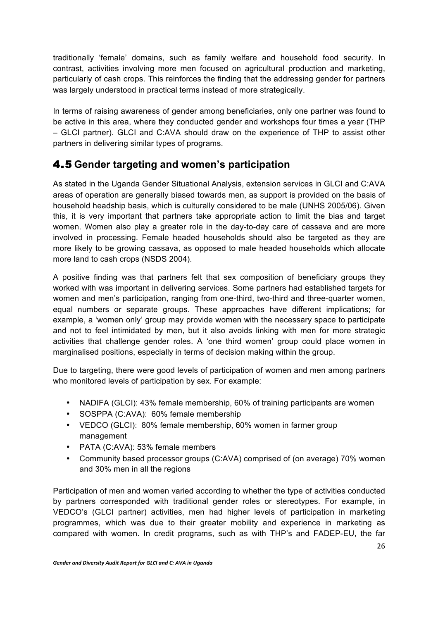traditionally 'female' domains, such as family welfare and household food security. In contrast, activities involving more men focused on agricultural production and marketing, particularly of cash crops. This reinforces the finding that the addressing gender for partners was largely understood in practical terms instead of more strategically.

In terms of raising awareness of gender among beneficiaries, only one partner was found to be active in this area, where they conducted gender and workshops four times a year (THP – GLCI partner). GLCI and C:AVA should draw on the experience of THP to assist other partners in delivering similar types of programs.

### 4.5 **Gender targeting and women's participation**

As stated in the Uganda Gender Situational Analysis, extension services in GLCI and C:AVA areas of operation are generally biased towards men, as support is provided on the basis of household headship basis, which is culturally considered to be male (UNHS 2005/06). Given this, it is very important that partners take appropriate action to limit the bias and target women. Women also play a greater role in the day-to-day care of cassava and are more involved in processing. Female headed households should also be targeted as they are more likely to be growing cassava, as opposed to male headed households which allocate more land to cash crops (NSDS 2004).

A positive finding was that partners felt that sex composition of beneficiary groups they worked with was important in delivering services. Some partners had established targets for women and men's participation, ranging from one-third, two-third and three-quarter women, equal numbers or separate groups. These approaches have different implications; for example, a 'women only' group may provide women with the necessary space to participate and not to feel intimidated by men, but it also avoids linking with men for more strategic activities that challenge gender roles. A 'one third women' group could place women in marginalised positions, especially in terms of decision making within the group.

Due to targeting, there were good levels of participation of women and men among partners who monitored levels of participation by sex. For example:

- NADIFA (GLCI): 43% female membership, 60% of training participants are women
- SOSPPA (C:AVA): 60% female membership
- VEDCO (GLCI): 80% female membership, 60% women in farmer group management
- PATA (C:AVA): 53% female members
- Community based processor groups (C:AVA) comprised of (on average) 70% women and 30% men in all the regions

Participation of men and women varied according to whether the type of activities conducted by partners corresponded with traditional gender roles or stereotypes. For example, in VEDCO's (GLCI partner) activities, men had higher levels of participation in marketing programmes, which was due to their greater mobility and experience in marketing as compared with women. In credit programs, such as with THP's and FADEP-EU, the far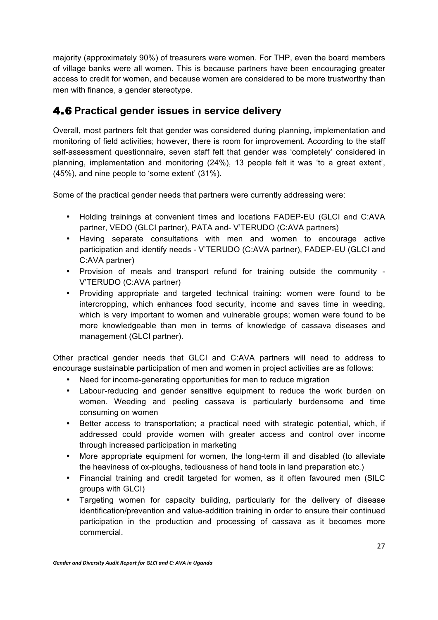majority (approximately 90%) of treasurers were women. For THP, even the board members of village banks were all women. This is because partners have been encouraging greater access to credit for women, and because women are considered to be more trustworthy than men with finance, a gender stereotype.

#### 4.6 **Practical gender issues in service delivery**

Overall, most partners felt that gender was considered during planning, implementation and monitoring of field activities; however, there is room for improvement. According to the staff self-assessment questionnaire, seven staff felt that gender was 'completely' considered in planning, implementation and monitoring (24%), 13 people felt it was 'to a great extent', (45%), and nine people to 'some extent' (31%).

Some of the practical gender needs that partners were currently addressing were:

- Holding trainings at convenient times and locations FADEP-EU (GLCI and C:AVA partner, VEDO (GLCI partner), PATA and- V'TERUDO (C:AVA partners)
- Having separate consultations with men and women to encourage active participation and identify needs - V'TERUDO (C:AVA partner), FADEP-EU (GLCI and C:AVA partner)
- Provision of meals and transport refund for training outside the community V'TERUDO (C:AVA partner)
- Providing appropriate and targeted technical training: women were found to be intercropping, which enhances food security, income and saves time in weeding, which is very important to women and vulnerable groups; women were found to be more knowledgeable than men in terms of knowledge of cassava diseases and management (GLCI partner).

Other practical gender needs that GLCI and C:AVA partners will need to address to encourage sustainable participation of men and women in project activities are as follows:

- Need for income-generating opportunities for men to reduce migration
- Labour-reducing and gender sensitive equipment to reduce the work burden on women. Weeding and peeling cassava is particularly burdensome and time consuming on women
- Better access to transportation; a practical need with strategic potential, which, if addressed could provide women with greater access and control over income through increased participation in marketing
- More appropriate equipment for women, the long-term ill and disabled (to alleviate the heaviness of ox-ploughs, tediousness of hand tools in land preparation etc.)
- Financial training and credit targeted for women, as it often favoured men (SILC groups with GLCI)
- Targeting women for capacity building, particularly for the delivery of disease identification/prevention and value-addition training in order to ensure their continued participation in the production and processing of cassava as it becomes more commercial.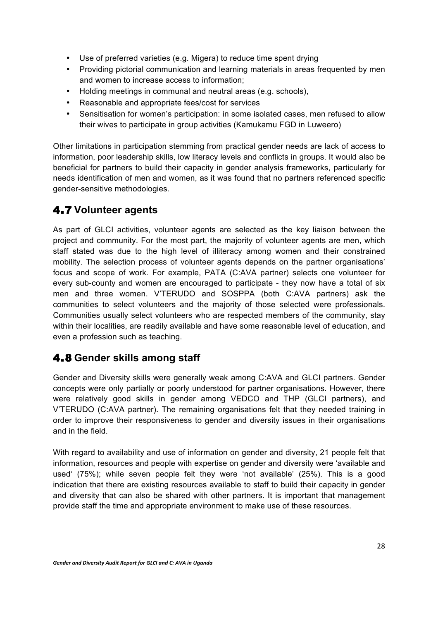- Use of preferred varieties (e.g. Migera) to reduce time spent drying
- Providing pictorial communication and learning materials in areas frequented by men and women to increase access to information;
- Holding meetings in communal and neutral areas (e.g. schools),
- Reasonable and appropriate fees/cost for services
- Sensitisation for women's participation: in some isolated cases, men refused to allow their wives to participate in group activities (Kamukamu FGD in Luweero)

Other limitations in participation stemming from practical gender needs are lack of access to information, poor leadership skills, low literacy levels and conflicts in groups. It would also be beneficial for partners to build their capacity in gender analysis frameworks, particularly for needs identification of men and women, as it was found that no partners referenced specific gender-sensitive methodologies.

### 4.7 **Volunteer agents**

As part of GLCI activities, volunteer agents are selected as the key liaison between the project and community. For the most part, the majority of volunteer agents are men, which staff stated was due to the high level of illiteracy among women and their constrained mobility. The selection process of volunteer agents depends on the partner organisations' focus and scope of work. For example, PATA (C:AVA partner) selects one volunteer for every sub-county and women are encouraged to participate - they now have a total of six men and three women. V'TERUDO and SOSPPA (both C:AVA partners) ask the communities to select volunteers and the majority of those selected were professionals. Communities usually select volunteers who are respected members of the community, stay within their localities, are readily available and have some reasonable level of education, and even a profession such as teaching.

### 4.8 **Gender skills among staff**

Gender and Diversity skills were generally weak among C:AVA and GLCI partners. Gender concepts were only partially or poorly understood for partner organisations. However, there were relatively good skills in gender among VEDCO and THP (GLCI partners), and V'TERUDO (C:AVA partner). The remaining organisations felt that they needed training in order to improve their responsiveness to gender and diversity issues in their organisations and in the field.

With regard to availability and use of information on gender and diversity, 21 people felt that information, resources and people with expertise on gender and diversity were 'available and used' (75%); while seven people felt they were 'not available' (25%). This is a good indication that there are existing resources available to staff to build their capacity in gender and diversity that can also be shared with other partners. It is important that management provide staff the time and appropriate environment to make use of these resources.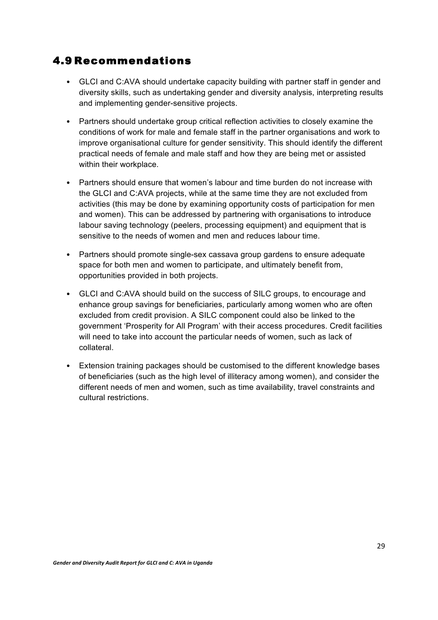#### 4.9 Recommendations

- GLCI and C:AVA should undertake capacity building with partner staff in gender and diversity skills, such as undertaking gender and diversity analysis, interpreting results and implementing gender-sensitive projects.
- Partners should undertake group critical reflection activities to closely examine the conditions of work for male and female staff in the partner organisations and work to improve organisational culture for gender sensitivity. This should identify the different practical needs of female and male staff and how they are being met or assisted within their workplace.
- Partners should ensure that women's labour and time burden do not increase with the GLCI and C:AVA projects, while at the same time they are not excluded from activities (this may be done by examining opportunity costs of participation for men and women). This can be addressed by partnering with organisations to introduce labour saving technology (peelers, processing equipment) and equipment that is sensitive to the needs of women and men and reduces labour time.
- Partners should promote single-sex cassava group gardens to ensure adequate space for both men and women to participate, and ultimately benefit from, opportunities provided in both projects.
- GLCI and C:AVA should build on the success of SILC groups, to encourage and enhance group savings for beneficiaries, particularly among women who are often excluded from credit provision. A SILC component could also be linked to the government 'Prosperity for All Program' with their access procedures. Credit facilities will need to take into account the particular needs of women, such as lack of collateral.
- Extension training packages should be customised to the different knowledge bases of beneficiaries (such as the high level of illiteracy among women), and consider the different needs of men and women, such as time availability, travel constraints and cultural restrictions.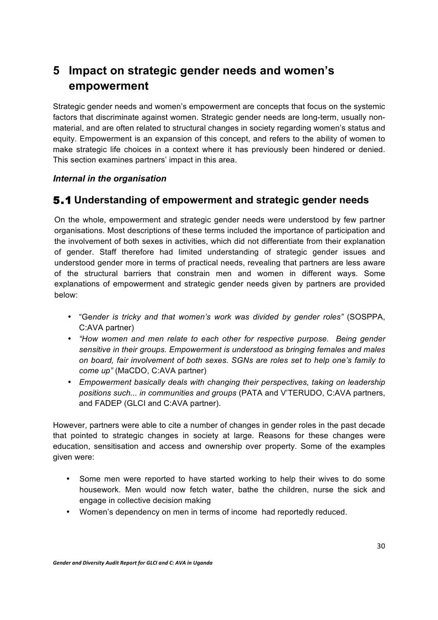# **5 Impact on strategic gender needs and women's empowerment**

Strategic gender needs and women's empowerment are concepts that focus on the systemic factors that discriminate against women. Strategic gender needs are long-term, usually nonmaterial, and are often related to structural changes in society regarding women's status and equity. Empowerment is an expansion of this concept, and refers to the ability of women to make strategic life choices in a context where it has previously been hindered or denied. This section examines partners' impact in this area.

#### *Internal in the organisation*

#### 5.1 **Understanding of empowerment and strategic gender needs**

On the whole, empowerment and strategic gender needs were understood by few partner organisations. Most descriptions of these terms included the importance of participation and the involvement of both sexes in activities, which did not differentiate from their explanation of gender. Staff therefore had limited understanding of strategic gender issues and understood gender more in terms of practical needs, revealing that partners are less aware of the structural barriers that constrain men and women in different ways. Some explanations of empowerment and strategic gender needs given by partners are provided below:

- "Ge*nder is tricky and that women's work was divided by gender roles"* (SOSPPA, C:AVA partner)
- *"How women and men relate to each other for respective purpose. Being gender sensitive in their groups. Empowerment is understood as bringing females and males on board, fair involvement of both sexes. SGNs are roles set to help one's family to come up"* (MaCDO, C:AVA partner)
- *Empowerment basically deals with changing their perspectives, taking on leadership positions such... in communities and groups* (PATA and V'TERUDO, C:AVA partners, and FADEP (GLCI and C:AVA partner).

However, partners were able to cite a number of changes in gender roles in the past decade that pointed to strategic changes in society at large. Reasons for these changes were education, sensitisation and access and ownership over property. Some of the examples given were:

- Some men were reported to have started working to help their wives to do some housework. Men would now fetch water, bathe the children, nurse the sick and engage in collective decision making
- Women's dependency on men in terms of income had reportedly reduced.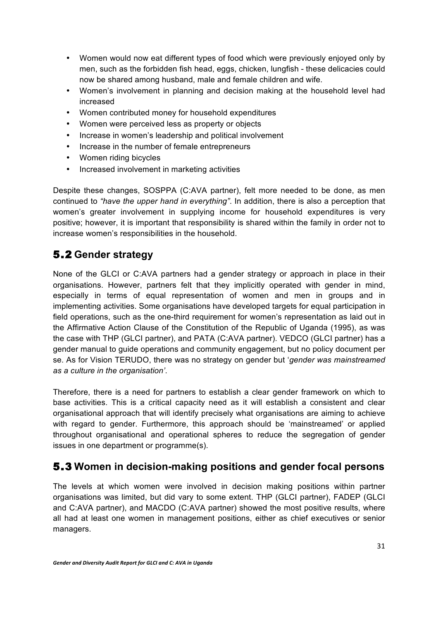- Women would now eat different types of food which were previously enjoyed only by men, such as the forbidden fish head, eggs, chicken, lungfish - these delicacies could now be shared among husband, male and female children and wife.
- Women's involvement in planning and decision making at the household level had increased
- Women contributed money for household expenditures
- Women were perceived less as property or objects
- Increase in women's leadership and political involvement
- Increase in the number of female entrepreneurs
- Women riding bicycles
- Increased involvement in marketing activities

Despite these changes, SOSPPA (C:AVA partner), felt more needed to be done, as men continued to *"have the upper hand in everything"*. In addition, there is also a perception that women's greater involvement in supplying income for household expenditures is very positive; however, it is important that responsibility is shared within the family in order not to increase women's responsibilities in the household.

### 5.2 **Gender strategy**

None of the GLCI or C:AVA partners had a gender strategy or approach in place in their organisations. However, partners felt that they implicitly operated with gender in mind, especially in terms of equal representation of women and men in groups and in implementing activities. Some organisations have developed targets for equal participation in field operations, such as the one-third requirement for women's representation as laid out in the Affirmative Action Clause of the Constitution of the Republic of Uganda (1995), as was the case with THP (GLCI partner), and PATA (C:AVA partner). VEDCO (GLCI partner) has a gender manual to guide operations and community engagement, but no policy document per se. As for Vision TERUDO, there was no strategy on gender but '*gender was mainstreamed as a culture in the organisation'*.

Therefore, there is a need for partners to establish a clear gender framework on which to base activities. This is a critical capacity need as it will establish a consistent and clear organisational approach that will identify precisely what organisations are aiming to achieve with regard to gender. Furthermore, this approach should be 'mainstreamed' or applied throughout organisational and operational spheres to reduce the segregation of gender issues in one department or programme(s).

#### 5.3 **Women in decision-making positions and gender focal persons**

The levels at which women were involved in decision making positions within partner organisations was limited, but did vary to some extent. THP (GLCI partner), FADEP (GLCI and C:AVA partner), and MACDO (C:AVA partner) showed the most positive results, where all had at least one women in management positions, either as chief executives or senior managers.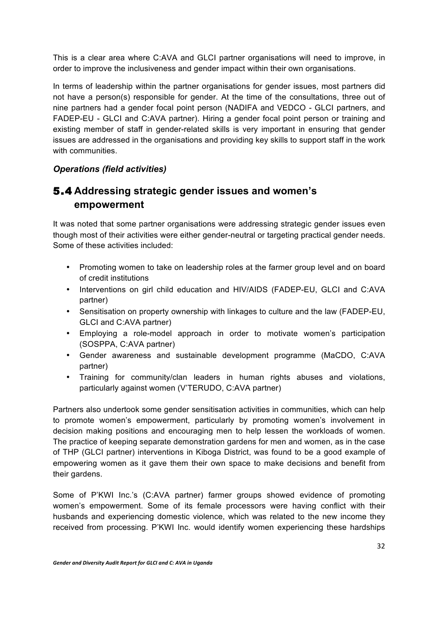This is a clear area where C:AVA and GLCI partner organisations will need to improve, in order to improve the inclusiveness and gender impact within their own organisations.

In terms of leadership within the partner organisations for gender issues, most partners did not have a person(s) responsible for gender. At the time of the consultations, three out of nine partners had a gender focal point person (NADIFA and VEDCO - GLCI partners, and FADEP-EU - GLCI and C:AVA partner). Hiring a gender focal point person or training and existing member of staff in gender-related skills is very important in ensuring that gender issues are addressed in the organisations and providing key skills to support staff in the work with communities.

#### *Operations (field activities)*

#### 5.4 **Addressing strategic gender issues and women's empowerment**

It was noted that some partner organisations were addressing strategic gender issues even though most of their activities were either gender-neutral or targeting practical gender needs. Some of these activities included:

- Promoting women to take on leadership roles at the farmer group level and on board of credit institutions
- Interventions on girl child education and HIV/AIDS (FADEP-EU, GLCI and C:AVA partner)
- Sensitisation on property ownership with linkages to culture and the law (FADEP-EU, GLCI and C:AVA partner)
- Employing a role-model approach in order to motivate women's participation (SOSPPA, C:AVA partner)
- Gender awareness and sustainable development programme (MaCDO, C:AVA partner)
- Training for community/clan leaders in human rights abuses and violations, particularly against women (V'TERUDO, C:AVA partner)

Partners also undertook some gender sensitisation activities in communities, which can help to promote women's empowerment, particularly by promoting women's involvement in decision making positions and encouraging men to help lessen the workloads of women. The practice of keeping separate demonstration gardens for men and women, as in the case of THP (GLCI partner) interventions in Kiboga District, was found to be a good example of empowering women as it gave them their own space to make decisions and benefit from their gardens.

Some of P'KWI Inc.'s (C:AVA partner) farmer groups showed evidence of promoting women's empowerment. Some of its female processors were having conflict with their husbands and experiencing domestic violence, which was related to the new income they received from processing. P'KWI Inc. would identify women experiencing these hardships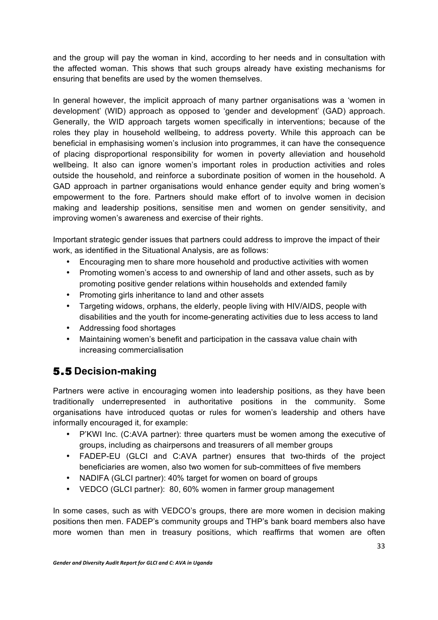and the group will pay the woman in kind, according to her needs and in consultation with the affected woman. This shows that such groups already have existing mechanisms for ensuring that benefits are used by the women themselves.

In general however, the implicit approach of many partner organisations was a 'women in development' (WID) approach as opposed to 'gender and development' (GAD) approach. Generally, the WID approach targets women specifically in interventions; because of the roles they play in household wellbeing, to address poverty. While this approach can be beneficial in emphasising women's inclusion into programmes, it can have the consequence of placing disproportional responsibility for women in poverty alleviation and household wellbeing. It also can ignore women's important roles in production activities and roles outside the household, and reinforce a subordinate position of women in the household. A GAD approach in partner organisations would enhance gender equity and bring women's empowerment to the fore. Partners should make effort of to involve women in decision making and leadership positions, sensitise men and women on gender sensitivity, and improving women's awareness and exercise of their rights.

Important strategic gender issues that partners could address to improve the impact of their work, as identified in the Situational Analysis, are as follows:

- Encouraging men to share more household and productive activities with women
- Promoting women's access to and ownership of land and other assets, such as by promoting positive gender relations within households and extended family
- Promoting girls inheritance to land and other assets
- Targeting widows, orphans, the elderly, people living with HIV/AIDS, people with disabilities and the youth for income-generating activities due to less access to land
- Addressing food shortages
- Maintaining women's benefit and participation in the cassava value chain with increasing commercialisation

### 5.5 **Decision-making**

Partners were active in encouraging women into leadership positions, as they have been traditionally underrepresented in authoritative positions in the community. Some organisations have introduced quotas or rules for women's leadership and others have informally encouraged it, for example:

- P'KWI Inc. (C:AVA partner): three quarters must be women among the executive of groups, including as chairpersons and treasurers of all member groups
- FADEP-EU (GLCI and C:AVA partner) ensures that two-thirds of the project beneficiaries are women, also two women for sub-committees of five members
- NADIFA (GLCI partner): 40% target for women on board of groups
- VEDCO (GLCI partner): 80, 60% women in farmer group management

In some cases, such as with VEDCO's groups, there are more women in decision making positions then men. FADEP's community groups and THP's bank board members also have more women than men in treasury positions, which reaffirms that women are often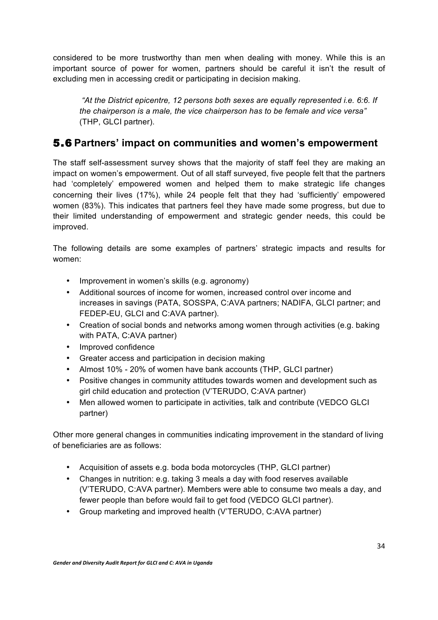considered to be more trustworthy than men when dealing with money. While this is an important source of power for women, partners should be careful it isn't the result of excluding men in accessing credit or participating in decision making.

*"At the District epicentre, 12 persons both sexes are equally represented i.e. 6:6. If the chairperson is a male, the vice chairperson has to be female and vice versa"*  (THP, GLCI partner).

#### 5.6 **Partners' impact on communities and women's empowerment**

The staff self-assessment survey shows that the majority of staff feel they are making an impact on women's empowerment. Out of all staff surveyed, five people felt that the partners had 'completely' empowered women and helped them to make strategic life changes concerning their lives (17%), while 24 people felt that they had 'sufficiently' empowered women (83%). This indicates that partners feel they have made some progress, but due to their limited understanding of empowerment and strategic gender needs, this could be improved.

The following details are some examples of partners' strategic impacts and results for women:

- Improvement in women's skills (e.g. agronomy)
- Additional sources of income for women, increased control over income and increases in savings (PATA, SOSSPA, C:AVA partners; NADIFA, GLCI partner; and FEDEP-EU, GLCI and C:AVA partner).
- Creation of social bonds and networks among women through activities (e.g. baking with PATA, C:AVA partner)
- Improved confidence
- Greater access and participation in decision making
- Almost 10% 20% of women have bank accounts (THP, GLCI partner)
- Positive changes in community attitudes towards women and development such as girl child education and protection (V'TERUDO, C:AVA partner)
- Men allowed women to participate in activities, talk and contribute (VEDCO GLCI partner)

Other more general changes in communities indicating improvement in the standard of living of beneficiaries are as follows:

- Acquisition of assets e.g. boda boda motorcycles (THP, GLCI partner)
- Changes in nutrition: e.g. taking 3 meals a day with food reserves available (V'TERUDO, C:AVA partner). Members were able to consume two meals a day, and fewer people than before would fail to get food (VEDCO GLCI partner).
- Group marketing and improved health (V'TERUDO, C:AVA partner)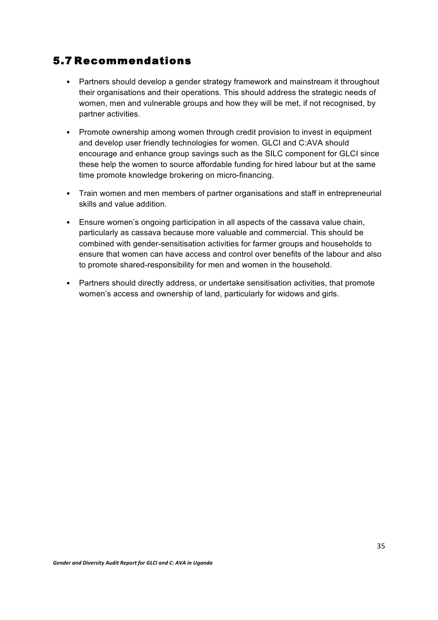#### 5.7 Recommendations

- Partners should develop a gender strategy framework and mainstream it throughout their organisations and their operations. This should address the strategic needs of women, men and vulnerable groups and how they will be met, if not recognised, by partner activities.
- Promote ownership among women through credit provision to invest in equipment and develop user friendly technologies for women. GLCI and C:AVA should encourage and enhance group savings such as the SILC component for GLCI since these help the women to source affordable funding for hired labour but at the same time promote knowledge brokering on micro-financing.
- Train women and men members of partner organisations and staff in entrepreneurial skills and value addition.
- Ensure women's ongoing participation in all aspects of the cassava value chain, particularly as cassava because more valuable and commercial. This should be combined with gender-sensitisation activities for farmer groups and households to ensure that women can have access and control over benefits of the labour and also to promote shared-responsibility for men and women in the household.
- Partners should directly address, or undertake sensitisation activities, that promote women's access and ownership of land, particularly for widows and girls.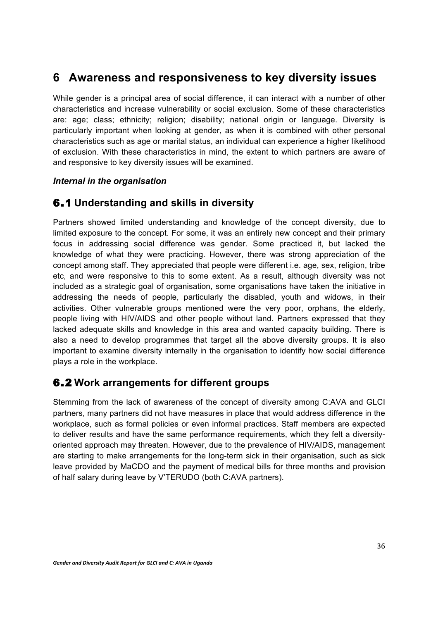### **6 Awareness and responsiveness to key diversity issues**

While gender is a principal area of social difference, it can interact with a number of other characteristics and increase vulnerability or social exclusion. Some of these characteristics are: age; class; ethnicity; religion; disability; national origin or language. Diversity is particularly important when looking at gender, as when it is combined with other personal characteristics such as age or marital status, an individual can experience a higher likelihood of exclusion. With these characteristics in mind, the extent to which partners are aware of and responsive to key diversity issues will be examined.

#### *Internal in the organisation*

#### 6.1 **Understanding and skills in diversity**

Partners showed limited understanding and knowledge of the concept diversity, due to limited exposure to the concept. For some, it was an entirely new concept and their primary focus in addressing social difference was gender. Some practiced it, but lacked the knowledge of what they were practicing. However, there was strong appreciation of the concept among staff. They appreciated that people were different i.e. age, sex, religion, tribe etc, and were responsive to this to some extent. As a result, although diversity was not included as a strategic goal of organisation, some organisations have taken the initiative in addressing the needs of people, particularly the disabled, youth and widows, in their activities. Other vulnerable groups mentioned were the very poor, orphans, the elderly, people living with HIV/AIDS and other people without land. Partners expressed that they lacked adequate skills and knowledge in this area and wanted capacity building. There is also a need to develop programmes that target all the above diversity groups. It is also important to examine diversity internally in the organisation to identify how social difference plays a role in the workplace.

#### 6.2 **Work arrangements for different groups**

Stemming from the lack of awareness of the concept of diversity among C:AVA and GLCI partners, many partners did not have measures in place that would address difference in the workplace, such as formal policies or even informal practices. Staff members are expected to deliver results and have the same performance requirements, which they felt a diversityoriented approach may threaten. However, due to the prevalence of HIV/AIDS, management are starting to make arrangements for the long-term sick in their organisation, such as sick leave provided by MaCDO and the payment of medical bills for three months and provision of half salary during leave by V'TERUDO (both C:AVA partners).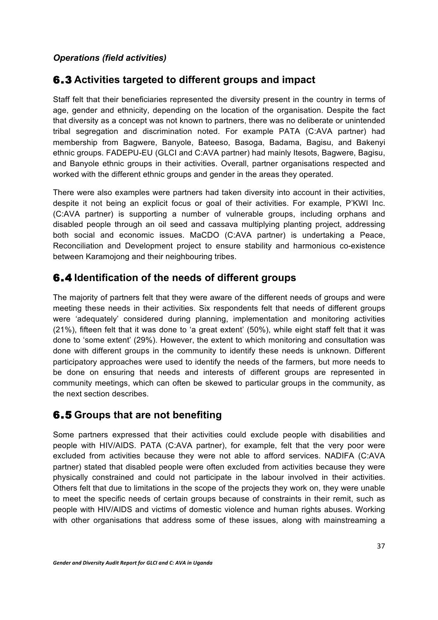#### *Operations (field activities)*

#### 6.3 **Activities targeted to different groups and impact**

Staff felt that their beneficiaries represented the diversity present in the country in terms of age, gender and ethnicity, depending on the location of the organisation. Despite the fact that diversity as a concept was not known to partners, there was no deliberate or unintended tribal segregation and discrimination noted. For example PATA (C:AVA partner) had membership from Bagwere, Banyole, Bateeso, Basoga, Badama, Bagisu, and Bakenyi ethnic groups. FADEPU-EU (GLCI and C:AVA partner) had mainly Itesots, Bagwere, Bagisu, and Banyole ethnic groups in their activities. Overall, partner organisations respected and worked with the different ethnic groups and gender in the areas they operated.

There were also examples were partners had taken diversity into account in their activities, despite it not being an explicit focus or goal of their activities. For example, P'KWI Inc. (C:AVA partner) is supporting a number of vulnerable groups, including orphans and disabled people through an oil seed and cassava multiplying planting project, addressing both social and economic issues. MaCDO (C:AVA partner) is undertaking a Peace, Reconciliation and Development project to ensure stability and harmonious co-existence between Karamojong and their neighbouring tribes.

#### 6.4 **Identification of the needs of different groups**

The majority of partners felt that they were aware of the different needs of groups and were meeting these needs in their activities. Six respondents felt that needs of different groups were 'adequately' considered during planning, implementation and monitoring activities (21%), fifteen felt that it was done to 'a great extent' (50%), while eight staff felt that it was done to 'some extent' (29%). However, the extent to which monitoring and consultation was done with different groups in the community to identify these needs is unknown. Different participatory approaches were used to identify the needs of the farmers, but more needs to be done on ensuring that needs and interests of different groups are represented in community meetings, which can often be skewed to particular groups in the community, as the next section describes.

#### 6.5 **Groups that are not benefiting**

Some partners expressed that their activities could exclude people with disabilities and people with HIV/AIDS. PATA (C:AVA partner), for example, felt that the very poor were excluded from activities because they were not able to afford services. NADIFA (C:AVA partner) stated that disabled people were often excluded from activities because they were physically constrained and could not participate in the labour involved in their activities. Others felt that due to limitations in the scope of the projects they work on, they were unable to meet the specific needs of certain groups because of constraints in their remit, such as people with HIV/AIDS and victims of domestic violence and human rights abuses. Working with other organisations that address some of these issues, along with mainstreaming a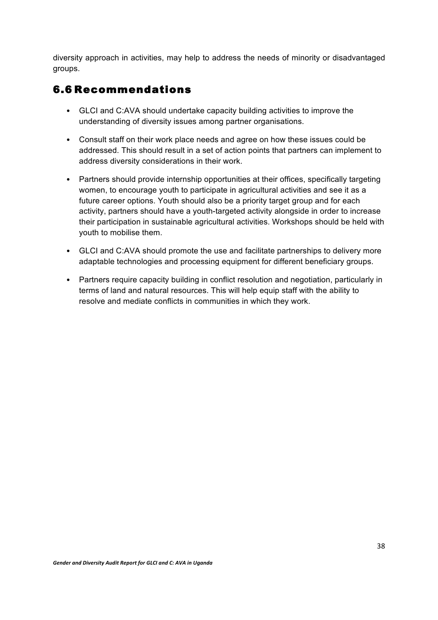diversity approach in activities, may help to address the needs of minority or disadvantaged groups.

#### 6.6 Recommendations

- GLCI and C:AVA should undertake capacity building activities to improve the understanding of diversity issues among partner organisations.
- Consult staff on their work place needs and agree on how these issues could be addressed. This should result in a set of action points that partners can implement to address diversity considerations in their work.
- Partners should provide internship opportunities at their offices, specifically targeting women, to encourage youth to participate in agricultural activities and see it as a future career options. Youth should also be a priority target group and for each activity, partners should have a youth-targeted activity alongside in order to increase their participation in sustainable agricultural activities. Workshops should be held with youth to mobilise them.
- GLCI and C:AVA should promote the use and facilitate partnerships to delivery more adaptable technologies and processing equipment for different beneficiary groups.
- Partners require capacity building in conflict resolution and negotiation, particularly in terms of land and natural resources. This will help equip staff with the ability to resolve and mediate conflicts in communities in which they work.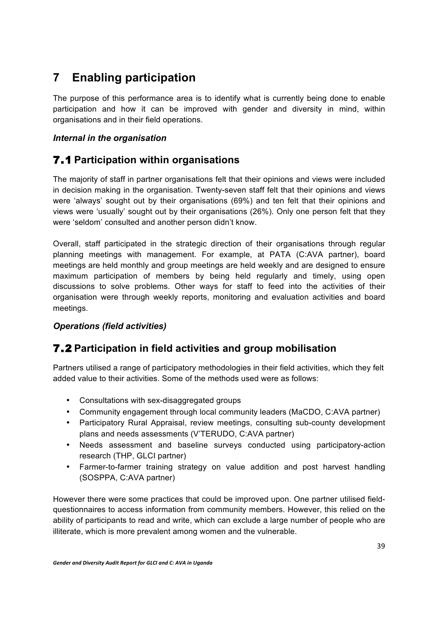# **7 Enabling participation**

The purpose of this performance area is to identify what is currently being done to enable participation and how it can be improved with gender and diversity in mind, within organisations and in their field operations.

#### *Internal in the organisation*

### 7.1 **Participation within organisations**

The majority of staff in partner organisations felt that their opinions and views were included in decision making in the organisation. Twenty-seven staff felt that their opinions and views were 'always' sought out by their organisations (69%) and ten felt that their opinions and views were 'usually' sought out by their organisations (26%). Only one person felt that they were 'seldom' consulted and another person didn't know.

Overall, staff participated in the strategic direction of their organisations through regular planning meetings with management. For example, at PATA (C:AVA partner), board meetings are held monthly and group meetings are held weekly and are designed to ensure maximum participation of members by being held regularly and timely, using open discussions to solve problems. Other ways for staff to feed into the activities of their organisation were through weekly reports, monitoring and evaluation activities and board meetings.

#### *Operations (field activities)*

### 7.2 **Participation in field activities and group mobilisation**

Partners utilised a range of participatory methodologies in their field activities, which they felt added value to their activities. Some of the methods used were as follows:

- Consultations with sex-disaggregated groups
- Community engagement through local community leaders (MaCDO, C:AVA partner)
- Participatory Rural Appraisal, review meetings, consulting sub-county development plans and needs assessments (V'TERUDO, C:AVA partner)
- Needs assessment and baseline surveys conducted using participatory-action research (THP, GLCI partner)
- Farmer-to-farmer training strategy on value addition and post harvest handling (SOSPPA, C:AVA partner)

However there were some practices that could be improved upon. One partner utilised fieldquestionnaires to access information from community members. However, this relied on the ability of participants to read and write, which can exclude a large number of people who are illiterate, which is more prevalent among women and the vulnerable.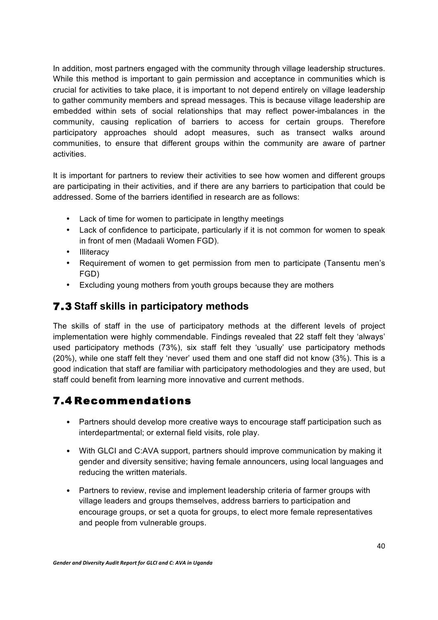In addition, most partners engaged with the community through village leadership structures. While this method is important to gain permission and acceptance in communities which is crucial for activities to take place, it is important to not depend entirely on village leadership to gather community members and spread messages. This is because village leadership are embedded within sets of social relationships that may reflect power-imbalances in the community, causing replication of barriers to access for certain groups. Therefore participatory approaches should adopt measures, such as transect walks around communities, to ensure that different groups within the community are aware of partner activities.

It is important for partners to review their activities to see how women and different groups are participating in their activities, and if there are any barriers to participation that could be addressed. Some of the barriers identified in research are as follows:

- Lack of time for women to participate in lengthy meetings
- Lack of confidence to participate, particularly if it is not common for women to speak in front of men (Madaali Women FGD).
- Illiteracy
- Requirement of women to get permission from men to participate (Tansentu men's FGD)
- Excluding young mothers from youth groups because they are mothers

#### 7.3 **Staff skills in participatory methods**

The skills of staff in the use of participatory methods at the different levels of project implementation were highly commendable. Findings revealed that 22 staff felt they 'always' used participatory methods (73%), six staff felt they 'usually' use participatory methods (20%), while one staff felt they 'never' used them and one staff did not know (3%). This is a good indication that staff are familiar with participatory methodologies and they are used, but staff could benefit from learning more innovative and current methods.

### 7.4 Recommendations

- Partners should develop more creative ways to encourage staff participation such as interdepartmental; or external field visits, role play.
- With GLCI and C:AVA support, partners should improve communication by making it gender and diversity sensitive; having female announcers, using local languages and reducing the written materials.
- Partners to review, revise and implement leadership criteria of farmer groups with village leaders and groups themselves, address barriers to participation and encourage groups, or set a quota for groups, to elect more female representatives and people from vulnerable groups.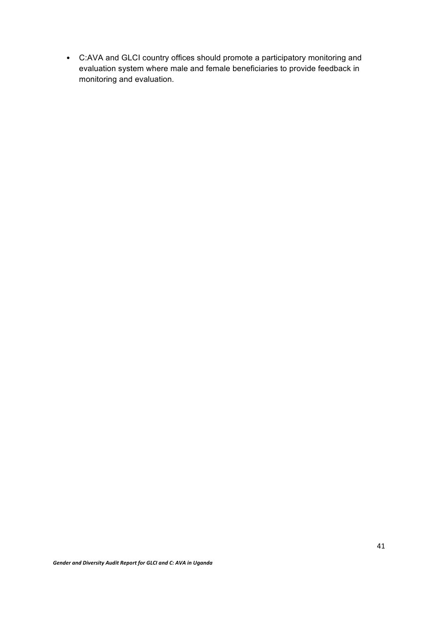• C:AVA and GLCI country offices should promote a participatory monitoring and evaluation system where male and female beneficiaries to provide feedback in monitoring and evaluation.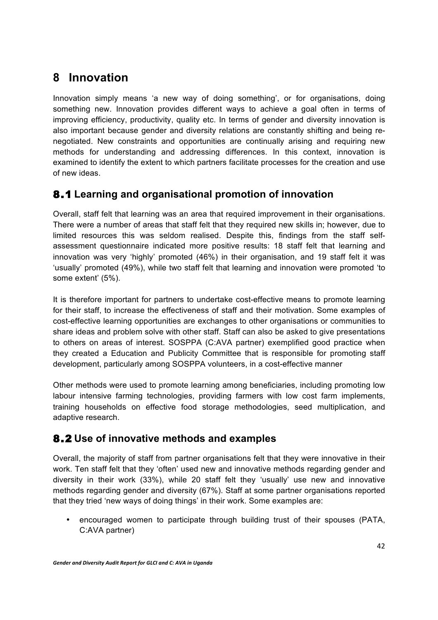## **8 Innovation**

Innovation simply means 'a new way of doing something', or for organisations, doing something new. Innovation provides different ways to achieve a goal often in terms of improving efficiency, productivity, quality etc. In terms of gender and diversity innovation is also important because gender and diversity relations are constantly shifting and being renegotiated. New constraints and opportunities are continually arising and requiring new methods for understanding and addressing differences. In this context, innovation is examined to identify the extent to which partners facilitate processes for the creation and use of new ideas.

### 8.1 **Learning and organisational promotion of innovation**

Overall, staff felt that learning was an area that required improvement in their organisations. There were a number of areas that staff felt that they required new skills in; however, due to limited resources this was seldom realised. Despite this, findings from the staff selfassessment questionnaire indicated more positive results: 18 staff felt that learning and innovation was very 'highly' promoted (46%) in their organisation, and 19 staff felt it was 'usually' promoted (49%), while two staff felt that learning and innovation were promoted 'to some extent' (5%).

It is therefore important for partners to undertake cost-effective means to promote learning for their staff, to increase the effectiveness of staff and their motivation. Some examples of cost-effective learning opportunities are exchanges to other organisations or communities to share ideas and problem solve with other staff. Staff can also be asked to give presentations to others on areas of interest. SOSPPA (C:AVA partner) exemplified good practice when they created a Education and Publicity Committee that is responsible for promoting staff development, particularly among SOSPPA volunteers, in a cost-effective manner

Other methods were used to promote learning among beneficiaries, including promoting low labour intensive farming technologies, providing farmers with low cost farm implements, training households on effective food storage methodologies, seed multiplication, and adaptive research.

### 8.2 **Use of innovative methods and examples**

Overall, the majority of staff from partner organisations felt that they were innovative in their work. Ten staff felt that they 'often' used new and innovative methods regarding gender and diversity in their work (33%), while 20 staff felt they 'usually' use new and innovative methods regarding gender and diversity (67%). Staff at some partner organisations reported that they tried 'new ways of doing things' in their work. Some examples are:

• encouraged women to participate through building trust of their spouses (PATA, C:AVA partner)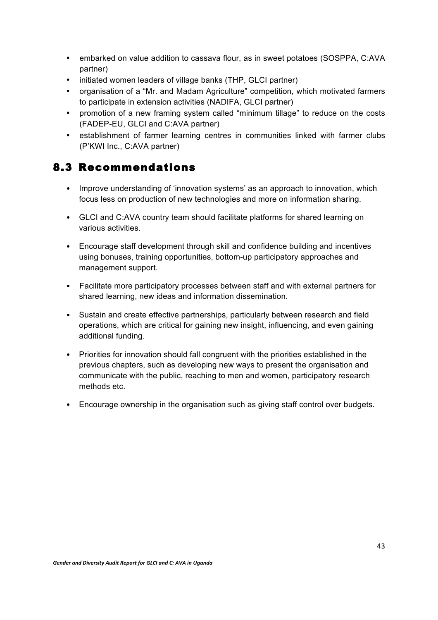- embarked on value addition to cassava flour, as in sweet potatoes (SOSPPA, C:AVA partner)
- initiated women leaders of village banks (THP, GLCI partner)
- organisation of a "Mr. and Madam Agriculture" competition, which motivated farmers to participate in extension activities (NADIFA, GLCI partner)
- promotion of a new framing system called "minimum tillage" to reduce on the costs (FADEP-EU, GLCI and C:AVA partner)
- establishment of farmer learning centres in communities linked with farmer clubs (P'KWI Inc., C:AVA partner)

### 8.3 Recommendations

- Improve understanding of 'innovation systems' as an approach to innovation, which focus less on production of new technologies and more on information sharing.
- GLCI and C:AVA country team should facilitate platforms for shared learning on various activities.
- Encourage staff development through skill and confidence building and incentives using bonuses, training opportunities, bottom-up participatory approaches and management support.
- Facilitate more participatory processes between staff and with external partners for shared learning, new ideas and information dissemination.
- Sustain and create effective partnerships, particularly between research and field operations, which are critical for gaining new insight, influencing, and even gaining additional funding.
- Priorities for innovation should fall congruent with the priorities established in the previous chapters, such as developing new ways to present the organisation and communicate with the public, reaching to men and women, participatory research methods etc.
- Encourage ownership in the organisation such as giving staff control over budgets.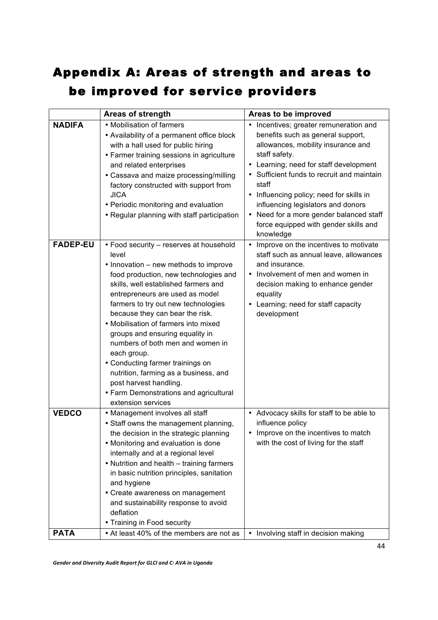# Appendix A: Areas of strength and areas to be improved for service providers

|                 | <b>Areas of strength</b>                                                                                                                                                                                                                                                                                                                                                                                                                                                                                                                                                                     | Areas to be improved                                                                                                                                                                                                                                                                                                                                                                                                   |
|-----------------|----------------------------------------------------------------------------------------------------------------------------------------------------------------------------------------------------------------------------------------------------------------------------------------------------------------------------------------------------------------------------------------------------------------------------------------------------------------------------------------------------------------------------------------------------------------------------------------------|------------------------------------------------------------------------------------------------------------------------------------------------------------------------------------------------------------------------------------------------------------------------------------------------------------------------------------------------------------------------------------------------------------------------|
| <b>NADIFA</b>   | • Mobilisation of farmers<br>• Availability of a permanent office block<br>with a hall used for public hiring<br>• Farmer training sessions in agriculture<br>and related enterprises<br>• Cassava and maize processing/milling<br>factory constructed with support from<br><b>JICA</b><br>• Periodic monitoring and evaluation<br>• Regular planning with staff participation                                                                                                                                                                                                               | • Incentives; greater remuneration and<br>benefits such as general support,<br>allowances, mobility insurance and<br>staff safety.<br>• Learning; need for staff development<br>• Sufficient funds to recruit and maintain<br>staff<br>• Influencing policy; need for skills in<br>influencing legislators and donors<br>• Need for a more gender balanced staff<br>force equipped with gender skills and<br>knowledge |
| <b>FADEP-EU</b> | • Food security - reserves at household<br>level<br>• Innovation – new methods to improve<br>food production, new technologies and<br>skills, well established farmers and<br>entrepreneurs are used as model<br>farmers to try out new technologies<br>because they can bear the risk.<br>• Mobilisation of farmers into mixed<br>groups and ensuring equality in<br>numbers of both men and women in<br>each group.<br>• Conducting farmer trainings on<br>nutrition, farming as a business, and<br>post harvest handling.<br>• Farm Demonstrations and agricultural<br>extension services | Improve on the incentives to motivate<br>$\bullet$<br>staff such as annual leave, allowances<br>and insurance.<br>• Involvement of men and women in<br>decision making to enhance gender<br>equality<br>• Learning; need for staff capacity<br>development                                                                                                                                                             |
| <b>VEDCO</b>    | • Management involves all staff<br>• Staff owns the management planning,<br>the decision in the strategic planning<br>• Monitoring and evaluation is done<br>internally and at a regional level<br>• Nutrition and health - training farmers<br>in basic nutrition principles, sanitation<br>and hygiene<br>• Create awareness on management<br>and sustainability response to avoid<br>deflation<br>• Training in Food security                                                                                                                                                             | • Advocacy skills for staff to be able to<br>influence policy<br>• Improve on the incentives to match<br>with the cost of living for the staff                                                                                                                                                                                                                                                                         |
| <b>PATA</b>     | • At least 40% of the members are not as                                                                                                                                                                                                                                                                                                                                                                                                                                                                                                                                                     | • Involving staff in decision making                                                                                                                                                                                                                                                                                                                                                                                   |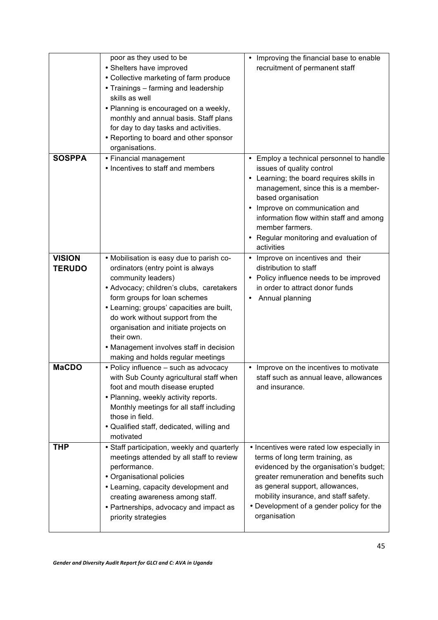|                                | poor as they used to be<br>• Shelters have improved<br>• Collective marketing of farm produce<br>• Trainings - farming and leadership<br>skills as well<br>• Planning is encouraged on a weekly,<br>monthly and annual basis. Staff plans<br>for day to day tasks and activities.<br>• Reporting to board and other sponsor<br>organisations.                                                           | Improving the financial base to enable<br>$\bullet$<br>recruitment of permanent staff                                                                                                                                                                                                                                                |
|--------------------------------|---------------------------------------------------------------------------------------------------------------------------------------------------------------------------------------------------------------------------------------------------------------------------------------------------------------------------------------------------------------------------------------------------------|--------------------------------------------------------------------------------------------------------------------------------------------------------------------------------------------------------------------------------------------------------------------------------------------------------------------------------------|
| <b>SOSPPA</b>                  | • Financial management<br>• Incentives to staff and members                                                                                                                                                                                                                                                                                                                                             | Employ a technical personnel to handle<br>issues of quality control<br>• Learning; the board requires skills in<br>management, since this is a member-<br>based organisation<br>• Improve on communication and<br>information flow within staff and among<br>member farmers.<br>• Regular monitoring and evaluation of<br>activities |
| <b>VISION</b><br><b>TERUDO</b> | • Mobilisation is easy due to parish co-<br>ordinators (entry point is always<br>community leaders)<br>• Advocacy; children's clubs, caretakers<br>form groups for loan schemes<br>• Learning; groups' capacities are built,<br>do work without support from the<br>organisation and initiate projects on<br>their own.<br>• Management involves staff in decision<br>making and holds regular meetings | Improve on incentives and their<br>$\bullet$<br>distribution to staff<br>• Policy influence needs to be improved<br>in order to attract donor funds<br>Annual planning                                                                                                                                                               |
| <b>MaCDO</b>                   | • Policy influence - such as advocacy<br>with Sub County agricultural staff when<br>foot and mouth disease erupted<br>• Planning, weekly activity reports.<br>Monthly meetings for all staff including<br>those in field.<br>• Qualified staff, dedicated, willing and<br>motivated                                                                                                                     | • Improve on the incentives to motivate<br>staff such as annual leave, allowances<br>and insurance.                                                                                                                                                                                                                                  |
| <b>THP</b>                     | • Staff participation, weekly and quarterly<br>meetings attended by all staff to review<br>performance.<br>• Organisational policies<br>• Learning, capacity development and<br>creating awareness among staff.<br>• Partnerships, advocacy and impact as<br>priority strategies                                                                                                                        | • Incentives were rated low especially in<br>terms of long term training, as<br>evidenced by the organisation's budget;<br>greater remuneration and benefits such<br>as general support, allowances,<br>mobility insurance, and staff safety.<br>• Development of a gender policy for the<br>organisation                            |